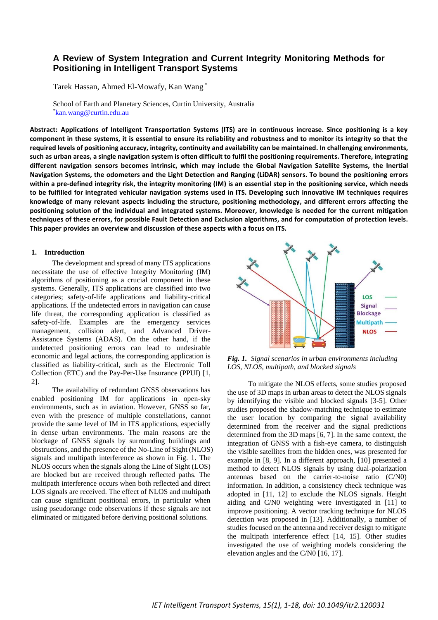# **A Review of System Integration and Current Integrity Monitoring Methods for Positioning in Intelligent Transport Systems**

Tarek Hassan, Ahmed El-Mowafy, Kan Wang \*

School of Earth and Planetary Sciences, Curtin University, Australia \*[kan.wang@curtin.edu.au](mailto:kan.wang@curtin.edu.au)

**Abstract: Applications of Intelligent Transportation Systems (ITS) are in continuous increase. Since positioning is a key component in these systems, it is essential to ensure its reliability and robustness and to monitor its integrity so that the required levels of positioning accuracy, integrity, continuity and availability can be maintained. In challenging environments, such as urban areas, a single navigation system is often difficult to fulfil the positioning requirements. Therefore, integrating different navigation sensors becomes intrinsic, which may include the Global Navigation Satellite Systems, the Inertial Navigation Systems, the odometers and the Light Detection and Ranging (LiDAR) sensors. To bound the positioning errors within a pre-defined integrity risk, the integrity monitoring (IM) is an essential step in the positioning service, which needs to be fulfilled for integrated vehicular navigation systems used in ITS. Developing such innovative IM techniques requires knowledge of many relevant aspects including the structure, positioning methodology, and different errors affecting the positioning solution of the individual and integrated systems. Moreover, knowledge is needed for the current mitigation techniques of these errors, for possible Fault Detection and Exclusion algorithms, and for computation of protection levels. This paper provides an overview and discussion of these aspects with a focus on ITS.**

## **1. Introduction**

The development and spread of many ITS applications necessitate the use of effective Integrity Monitoring (IM) algorithms of positioning as a crucial component in these systems. Generally, ITS applications are classified into two categories; safety-of-life applications and liability-critical applications. If the undetected errors in navigation can cause life threat, the corresponding application is classified as safety-of-life. Examples are the emergency services management, collision alert, and Advanced Driver-Assistance Systems (ADAS). On the other hand, if the undetected positioning errors can lead to undesirable economic and legal actions, the corresponding application is classified as liability-critical, such as the Electronic Toll Collection (ETC) and the Pay-Per-Use Insurance (PPUI) [1, 2].

The availability of redundant GNSS observations has enabled positioning IM for applications in open-sky environments, such as in aviation. However, GNSS so far, even with the presence of multiple constellations, cannot provide the same level of IM in ITS applications, especially in dense urban environments. The main reasons are the blockage of GNSS signals by surrounding buildings and obstructions, and the presence of the No-Line of Sight (NLOS) signals and multipath interference as shown in Fig. 1. The NLOS occurs when the signals along the Line of Sight (LOS) are blocked but are received through reflected paths. The multipath interference occurs when both reflected and direct LOS signals are received. The effect of NLOS and multipath can cause significant positional errors, in particular when using pseudorange code observations if these signals are not eliminated or mitigated before deriving positional solutions.



*Fig. 1. Signal scenarios in urban environments including LOS, NLOS, multipath, and blocked signals*

To mitigate the NLOS effects, some studies proposed the use of 3D maps in urban areas to detect the NLOS signals by identifying the visible and blocked signals [3-5]. Other studies proposed the shadow-matching technique to estimate the user location by comparing the signal availability determined from the receiver and the signal predictions determined from the 3D maps [6, 7]. In the same context, the integration of GNSS with a fish-eye camera, to distinguish the visible satellites from the hidden ones, was presented for example in [8, 9]. In a different approach, [10] presented a method to detect NLOS signals by using dual-polarization antennas based on the carrier-to-noise ratio (C/N0) information. In addition, a consistency check technique was adopted in [11, 12] to exclude the NLOS signals. Height aiding and C/N0 weighting were investigated in [11] to improve positioning. A vector tracking technique for NLOS detection was proposed in [13]. Additionally, a number of studies focused on the antenna and receiver design to mitigate the multipath interference effect [14, 15]. Other studies investigated the use of weighting models considering the elevation angles and the C/N0 [16, 17].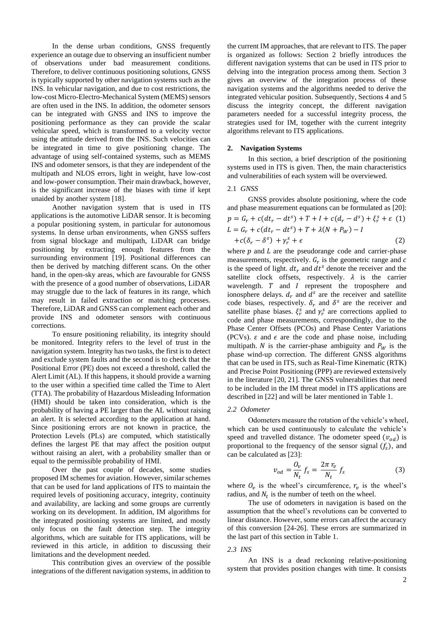In the dense urban conditions, GNSS frequently experience an outage due to observing an insufficient number of observations under bad measurement conditions. Therefore, to deliver continuous positioning solutions, GNSS is typically supported by other navigation systems such as the INS. In vehicular navigation, and due to cost restrictions, the low-cost Micro-Electro-Mechanical System (MEMS) sensors are often used in the INS. In addition, the odometer sensors can be integrated with GNSS and INS to improve the positioning performance as they can provide the scalar vehicular speed, which is transformed to a velocity vector using the attitude derived from the INS. Such velocities can be integrated in time to give positioning change. The advantage of using self-contained systems, such as MEMS INS and odometer sensors, is that they are independent of the multipath and NLOS errors, light in weight, have low-cost and low-power consumption. Their main drawback, however, is the significant increase of the biases with time if kept unaided by another system [18].

Another navigation system that is used in ITS applications is the automotive LiDAR sensor. It is becoming a popular positioning system, in particular for autonomous systems. In dense urban environments, when GNSS suffers from signal blockage and multipath, LiDAR can bridge positioning by extracting enough features from the surrounding environment [19]. Positional differences can then be derived by matching different scans. On the other hand, in the open-sky areas, which are favourable for GNSS with the presence of a good number of observations, LiDAR may struggle due to the lack of features in its range, which may result in failed extraction or matching processes. Therefore, LiDAR and GNSS can complement each other and provide INS and odometer sensors with continuous corrections.

To ensure positioning reliability, its integrity should be monitored. Integrity refers to the level of trust in the navigation system. Integrity has two tasks, the first is to detect and exclude system faults and the second is to check that the Positional Error (PE) does not exceed a threshold, called the Alert Limit (AL). If this happens, it should provide a warning to the user within a specified time called the Time to Alert (TTA). The probability of Hazardous Misleading Information (HMI) should be taken into consideration, which is the probability of having a PE larger than the AL without raising an alert. It is selected according to the application at hand. Since positioning errors are not known in practice, the Protection Levels (PLs) are computed, which statistically defines the largest PE that may affect the position output without raising an alert, with a probability smaller than or equal to the permissible probability of HMI.

Over the past couple of decades, some studies proposed IM schemes for aviation. However, similar schemes that can be used for land applications of ITS to maintain the required levels of positioning accuracy, integrity, continuity and availability, are lacking and some groups are currently working on its development. In addition, IM algorithms for the integrated positioning systems are limited, and mostly only focus on the fault detection step. The integrity algorithms, which are suitable for ITS applications, will be reviewed in this article, in addition to discussing their limitations and the development needed.

This contribution gives an overview of the possible integrations of the different navigation systems, in addition to the current IM approaches, that are relevant to ITS. The paper is organized as follows: Section 2 briefly introduces the different navigation systems that can be used in ITS prior to delving into the integration process among them. Section 3 gives an overview of the integration process of these navigation systems and the algorithms needed to derive the integrated vehicular position. Subsequently, Sections 4 and 5 discuss the integrity concept, the different navigation parameters needed for a successful integrity process, the strategies used for IM, together with the current integrity algorithms relevant to ITS applications.

#### **2. Navigation Systems**

In this section, a brief description of the positioning systems used in ITS is given. Then, the main characteristics and vulnerabilities of each system will be overviewed.

## 2.1 *GNSS*

GNSS provides absolute positioning, where the code and phase measurement equations can be formulated as [20]:  $p = G_r + c(dt_r - dt^s) + T + I + c(d_r - d^s) + \xi_r^s + \varepsilon$  (1)  $L = G_r + c(dt_r - dt^s) + T + \lambda(N + P_W) - I$  $+c(\delta_r - \delta^s) + \gamma_r^s + \epsilon$  (2)

where  $p$  and  $L$  are the pseudorange code and carrier-phase measurements, respectively.  $G_r$  is the geometric range and  $c$ is the speed of light.  $dt_r$  and  $dt^s$  denote the receiver and the satellite clock offsets, respectively.  $\lambda$  is the carrier wavelength.  $T$  and  $I$  represent the troposphere and ionosphere delays.  $d_r$  and  $d^s$  are the receiver and satellite code biases, respectively.  $\delta_r$  and  $\delta^s$  are the receiver and satellite phase biases.  $\xi_r^s$  and  $\gamma_r^s$  are corrections applied to code and phase measurements, correspondingly, due to the Phase Center Offsets (PCOs) and Phase Center Variations (PCVs).  $\varepsilon$  and  $\epsilon$  are the code and phase noise, including multipath. *N* is the carrier-phase ambiguity and  $P_W$  is the phase wind-up correction. The different GNSS algorithms that can be used in ITS, such as Real-Time Kinematic (RTK) and Precise Point Positioning (PPP) are reviewed extensively in the literature [20, 21]. The GNSS vulnerabilities that need to be included in the IM threat model in ITS applications are described in [22] and will be later mentioned in Table 1.

#### *2.2 Odometer*

Odometers measure the rotation of the vehicle's wheel, which can be used continuously to calculate the vehicle's speed and travelled distance. The odometer speed  $(v_{od})$  is proportional to the frequency of the sensor signal  $(f_s)$ , and can be calculated as [23]:

$$
v_{od} = \frac{O_v}{N_t} f_s = \frac{2\pi r_v}{N_t} f_s \tag{3}
$$

where  $O_v$  is the wheel's circumference,  $r_v$  is the wheel's radius, and  $N_t$  is the number of teeth on the wheel.

The use of odometers in navigation is based on the assumption that the wheel's revolutions can be converted to linear distance. However, some errors can affect the accuracy of this conversion [24-26]. These errors are summarized in the last part of this section in Table 1.

#### *2.3 INS*

An INS is a dead reckoning relative-positioning system that provides position changes with time. It consists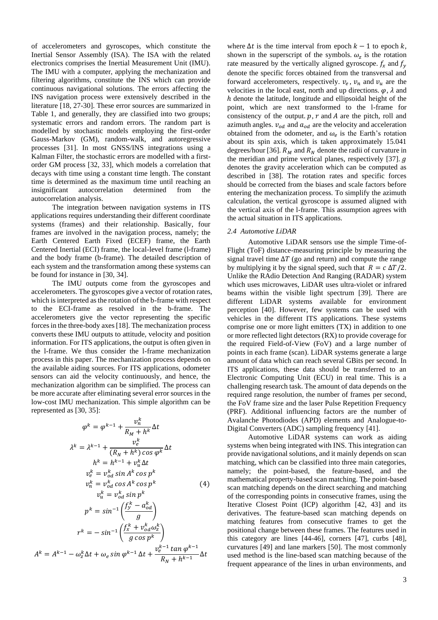of accelerometers and gyroscopes, which constitute the Inertial Sensor Assembly (ISA). The ISA with the related electronics comprises the Inertial Measurement Unit (IMU). The IMU with a computer, applying the mechanization and filtering algorithms, constitute the INS which can provide continuous navigational solutions. The errors affecting the INS navigation process were extensively described in the literature [18, 27-30]. These error sources are summarized in Table 1, and generally, they are classified into two groups; systematic errors and random errors. The random part is modelled by stochastic models employing the first-order Gauss-Markov (GM), random-walk, and autoregressive processes [31]. In most GNSS/INS integrations using a Kalman Filter, the stochastic errors are modelled with a firstorder GM process [32, 33], which models a correlation that decays with time using a constant time length. The constant time is determined as the maximum time until reaching an insignificant autocorrelation determined from the autocorrelation analysis.

The integration between navigation systems in ITS applications requires understanding their different coordinate systems (frames) and their relationship. Basically, four frames are involved in the navigation process, namely; the Earth Centered Earth Fixed (ECEF) frame, the Earth Centered Inertial (ECI) frame, the local-level frame (l-frame) and the body frame (b-frame). The detailed description of each system and the transformation among these systems can be found for instance in [30, 34].

The IMU outputs come from the gyroscopes and accelerometers. The gyroscopes give a vector of rotation rates, which is interpreted as the rotation of the b-frame with respect to the ECI-frame as resolved in the b-frame. The accelerometers give the vector representing the specific forces in the three-body axes [18]. The mechanization process converts these IMU outputs to attitude, velocity and position information. For ITS applications, the output is often given in the l-frame. We thus consider the l-frame mechanization process in this paper. The mechanization process depends on the available aiding sources. For ITS applications, odometer sensors can aid the velocity continuously, and hence, the mechanization algorithm can be simplified. The process can be more accurate after eliminating several error sources in the low-cost IMU mechanization. This simple algorithm can be represented as [30, 35]:

$$
\varphi^{k} = \varphi^{k-1} + \frac{v_{n}^{k}}{R_{M} + h^{k}} \Delta t
$$
\n
$$
\lambda^{k} = \lambda^{k-1} + \frac{v_{e}^{k}}{(R_{N} + h^{k}) \cos \varphi^{k}} \Delta t
$$
\n
$$
h^{k} = h^{k-1} + v_{u}^{k} \Delta t
$$
\n
$$
v_{e}^{k} = v_{od}^{k} \sin A^{k} \cos p^{k}
$$
\n
$$
v_{n}^{k} = v_{od}^{k} \cos A^{k} \cos p^{k}
$$
\n
$$
v_{u}^{k} = v_{od}^{k} \sin p^{k}
$$
\n
$$
p^{k} = \sin^{-1} \left( \frac{f_{y}^{k} - a_{od}^{k}}{g} \right)
$$
\n
$$
r^{k} = -\sin^{-1} \left( \frac{f_{x}^{k} + v_{od}^{k} \omega_{z}^{k}}{g \cos p^{k}} \right)
$$
\n
$$
A^{k} = A^{k-1} - \omega_{z}^{k} \Delta t + \omega_{e} \sin \varphi^{k-1} \Delta t + \frac{v_{e}^{k-1} \tan \varphi^{k-1}}{R_{N} + h^{k-1}} \Delta t
$$

where  $\Delta t$  is the time interval from epoch  $k - 1$  to epoch  $k$ , shown in the superscript of the symbols.  $\omega_z$  is the rotation rate measured by the vertically aligned gyroscope.  $f_x$  and  $f_y$ denote the specific forces obtained from the transversal and forward accelerometers, respectively.  $v_e$ ,  $v_n$  and  $v_u$  are the velocities in the local east, north and up directions.  $\varphi$ ,  $\lambda$  and ℎ denote the latitude, longitude and ellipsoidal height of the point, which are next transformed to the l-frame for consistency of the output.  $p, r$  and  $A$  are the pitch, roll and azimuth angles.  $v_{od}$  and  $a_{od}$  are the velocity and acceleration obtained from the odometer, and  $\omega_e$  is the Earth's rotation about its spin axis, which is taken approximately 15.041 degrees/hour [36].  $R_M$  and  $R_M$  denote the radii of curvature in the meridian and prime vertical planes, respectively [37].  $q$ denotes the gravity acceleration which can be computed as described in [38]. The rotation rates and specific forces should be corrected from the biases and scale factors before entering the mechanization process. To simplify the azimuth calculation, the vertical gyroscope is assumed aligned with the vertical axis of the l-frame. This assumption agrees with the actual situation in ITS applications.

#### *2.4 Automotive LiDAR*

Automotive LiDAR sensors use the simple Time-of-Flight (ToF) distance-measuring principle by measuring the signal travel time  $\Delta T$  (go and return) and compute the range by multiplying it by the signal speed, such that  $R = c \Delta T/2$ . Unlike the RAdio Detection And Ranging (RADAR) system which uses microwaves, LiDAR uses ultra-violet or infrared beams within the visible light spectrum [39]. There are different LiDAR systems available for environment perception [40]. However, few systems can be used with vehicles in the different ITS applications. These systems comprise one or more light emitters (TX) in addition to one or more reflected light detectors (RX) to provide coverage for the required Field-of-View (FoV) and a large number of points in each frame (scan). LiDAR systems generate a large amount of data which can reach several GBits per second. In ITS applications, these data should be transferred to an Electronic Computing Unit (ECU) in real time. This is a challenging research task. The amount of data depends on the required range resolution, the number of frames per second, the FoV frame size and the laser Pulse Repetition Frequency (PRF). Additional influencing factors are the number of Avalanche Photodiodes (APD) elements and Analogue-to-Digital Converters (ADC) sampling frequency [41].

Automotive LiDAR systems can work as aiding systems when being integrated with INS. This integration can provide navigational solutions, and it mainly depends on scan matching, which can be classified into three main categories, namely; the point-based, the feature-based, and the mathematical property-based scan matching. The point-based scan matching depends on the direct searching and matching of the corresponding points in consecutive frames, using the Iterative Closest Point (ICP) algorithm [42, 43] and its derivatives. The feature-based scan matching depends on matching features from consecutive frames to get the positional change between these frames. The features used in this category are lines [44-46], corners [47], curbs [48], curvatures [49] and lane markers [50]. The most commonly used method is the line-based scan matching because of the frequent appearance of the lines in urban environments, and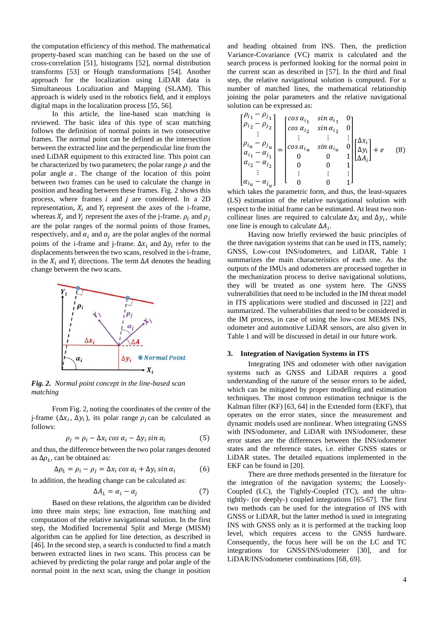the computation efficiency of this method. The mathematical property-based scan matching can be based on the use of cross-correlation [51], histograms [52], normal distribution transforms [53] or Hough transformations [54]. Another approach for the localization using LiDAR data is Simultaneous Localization and Mapping (SLAM). This approach is widely used in the robotics field, and it employs digital maps in the localization process [55, 56].

In this article, the line-based scan matching is reviewed. The basic idea of this type of scan matching follows the definition of normal points in two consecutive frames. The normal point can be defined as the intersection between the extracted line and the perpendicular line from the used LiDAR equipment to this extracted line. This point can be characterized by two parameters; the polar range  $\rho$  and the polar angle  $\alpha$ . The change of the location of this point between two frames can be used to calculate the change in position and heading between these frames. Fig. 2 shows this process, where frames  $i$  and  $j$  are considered. In a 2D representation,  $X_i$  and  $Y_i$  represent the axes of the i-frame, whereas  $X_j$  and  $Y_j$  represent the axes of the j-frame.  $\rho_i$  and  $\rho_j$ are the polar ranges of the normal points of those frames, respectively, and  $\alpha_i$  and  $\alpha_j$  are the polar angles of the normal points of the i-frame and j-frame.  $\Delta x_i$  and  $\Delta y_i$  refer to the displacements between the two scans, resolved in the i-frame, in the  $X_i$  and  $Y_i$  directions. The term  $\Delta A$  denotes the heading change between the two scans.



*Fig. 2. Normal point concept in the line-based scan matching* 

From Fig. 2, noting the coordinates of the center of the j-frame  $(\Delta x_i, \Delta y_i)$ , its polar range  $\rho_j$  can be calculated as follows:

$$
\rho_j = \rho_i - \Delta x_i \cos \alpha_i - \Delta y_i \sin \alpha_i \tag{5}
$$

and thus, the difference between the two polar ranges denoted as  $\Delta \rho_L$ , can be obtained as:

$$
\Delta \rho_L = \rho_i - \rho_j = \Delta x_i \cos \alpha_i + \Delta y_i \sin \alpha_i \tag{6}
$$

In addition, the heading change can be calculated as:

$$
\Delta A_L = \alpha_i - \alpha_j \tag{7}
$$

Based on these relations, the algorithm can be divided into three main steps; line extraction, line matching and computation of the relative navigational solution. In the first step, the Modified Incremental Split and Merge (MISM) algorithm can be applied for line detection, as described in [46]. In the second step, a search is conducted to find a match between extracted lines in two scans. This process can be achieved by predicting the polar range and polar angle of the normal point in the next scan, using the change in position

and heading obtained from INS. Then, the prediction Variance-Covariance (VC) matrix is calculated and the search process is performed looking for the normal point in the current scan as described in [57]. In the third and final step, the relative navigational solution is computed. For  $u$ number of matched lines, the mathematical relationship joining the polar parameters and the relative navigational solution can be expressed as:

$$
\begin{bmatrix} \rho_{i_1} - \rho_{j_1} \\ \rho_{i_2} - \rho_{j_2} \\ \vdots \\ \rho_{i_u} - \rho_{j_u} \\ \alpha_{i_1} - \alpha_{j_1} \\ \vdots \\ \alpha_{i_u} - \alpha_{j_u} \end{bmatrix} = \begin{bmatrix} \cos \alpha_{i_1} & \sin \alpha_{i_1} & 0 \\ \cos \alpha_{i_2} & \sin \alpha_{i_2} & 0 \\ \vdots & \vdots & \vdots \\ \cos \alpha_{i_u} & \sin \alpha_{i_u} & 0 \\ 0 & 0 & 1 \\ 0 & 0 & 1 \\ \vdots & \vdots & \vdots \\ 0 & 0 & 1 \end{bmatrix} \begin{bmatrix} \Delta x_i \\ \Delta y_i \\ \Delta A_i \end{bmatrix} + e \quad (8)
$$

which takes the parametric form, and thus, the least-squares (LS) estimation of the relative navigational solution with respect to the initial frame can be estimated. At least two noncollinear lines are required to calculate  $\Delta x_i$  and  $\Delta y_i$ , while one line is enough to calculate  $\Delta A_i$ .

Having now briefly reviewed the basic principles of the three navigation systems that can be used in ITS, namely; GNSS, Low-cost INS/odometers, and LiDAR, Table 1 summarizes the main characteristics of each one. As the outputs of the IMUs and odometers are processed together in the mechanization process to derive navigational solutions, they will be treated as one system here. The GNSS vulnerabilities that need to be included in the IM threat model in ITS applications were studied and discussed in [22] and summarized. The vulnerabilities that need to be considered in the IM process, in case of using the low-cost MEMS INS, odometer and automotive LiDAR sensors, are also given in Table 1 and will be discussed in detail in our future work.

## **3. Integration of Navigation Systems in ITS**

Integrating INS and odometer with other navigation systems such as GNSS and LiDAR requires a good understanding of the nature of the sensor errors to be aided, which can be mitigated by proper modelling and estimation techniques. The most common estimation technique is the Kalman filter (KF) [63, 64] in the Extended form (EKF), that operates on the error states, since the measurement and dynamic models used are nonlinear. When integrating GNSS with INS/odometer, and LiDAR with INS/odometer, these error states are the differences between the INS/odometer states and the reference states, i.e. either GNSS states or LiDAR states. The detailed equations implemented in the EKF can be found in [20].

There are three methods presented in the literature for the integration of the navigation systems; the Loosely-Coupled (LC), the Tightly-Coupled (TC), and the ultratightly- (or deeply-) coupled integrations [65-67]. The first two methods can be used for the integration of INS with GNSS or LiDAR, but the latter method is used in integrating INS with GNSS only as it is performed at the tracking loop level, which requires access to the GNSS hardware. Consequently, the focus here will be on the LC and TC integrations for GNSS/INS/odometer [30], and for LiDAR/INS/odometer combinations [68, 69].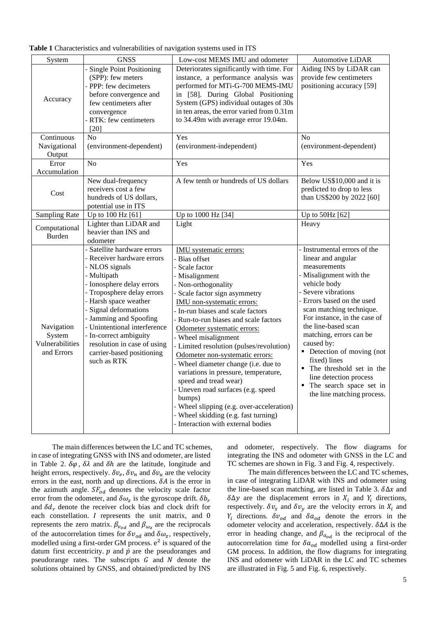| System                                                | <b>GNSS</b>                                                                                                                                                                                                                                                                                                                                                            | Low-cost MEMS IMU and odometer                                                                                                                                                                                                                                                                                                                                                                                                                                                                                                                                                                                                                                            | Automotive LiDAR                                                                                                                                                                                                                                                                                                                                                                                                                                              |
|-------------------------------------------------------|------------------------------------------------------------------------------------------------------------------------------------------------------------------------------------------------------------------------------------------------------------------------------------------------------------------------------------------------------------------------|---------------------------------------------------------------------------------------------------------------------------------------------------------------------------------------------------------------------------------------------------------------------------------------------------------------------------------------------------------------------------------------------------------------------------------------------------------------------------------------------------------------------------------------------------------------------------------------------------------------------------------------------------------------------------|---------------------------------------------------------------------------------------------------------------------------------------------------------------------------------------------------------------------------------------------------------------------------------------------------------------------------------------------------------------------------------------------------------------------------------------------------------------|
| Accuracy                                              | - Single Point Positioning<br>(SPP): few meters<br>- PPP: few decimeters<br>before convergence and<br>few centimeters after<br>convergence<br>- RTK: few centimeters<br>[20]                                                                                                                                                                                           | Deteriorates significantly with time. For<br>instance, a performance analysis was<br>performed for MTi-G-700 MEMS-IMU<br>in [58]. During Global Positioning<br>System (GPS) individual outages of 30s<br>in ten areas, the error varied from 0.31m<br>to 34.49m with average error 19.04m.                                                                                                                                                                                                                                                                                                                                                                                | Aiding INS by LiDAR can<br>provide few centimeters<br>positioning accuracy [59]                                                                                                                                                                                                                                                                                                                                                                               |
| Continuous<br>Navigational<br>Output                  | No<br>(environment-dependent)                                                                                                                                                                                                                                                                                                                                          | Yes<br>(environment-independent)                                                                                                                                                                                                                                                                                                                                                                                                                                                                                                                                                                                                                                          | No<br>(environment-dependent)                                                                                                                                                                                                                                                                                                                                                                                                                                 |
| Error<br>Accumulation                                 | N <sub>o</sub>                                                                                                                                                                                                                                                                                                                                                         | Yes                                                                                                                                                                                                                                                                                                                                                                                                                                                                                                                                                                                                                                                                       | Yes                                                                                                                                                                                                                                                                                                                                                                                                                                                           |
| Cost                                                  | New dual-frequency<br>receivers cost a few<br>hundreds of US dollars,<br>potential use in ITS                                                                                                                                                                                                                                                                          | A few tenth or hundreds of US dollars                                                                                                                                                                                                                                                                                                                                                                                                                                                                                                                                                                                                                                     | Below US\$10,000 and it is<br>predicted to drop to less<br>than US\$200 by 2022 [60]                                                                                                                                                                                                                                                                                                                                                                          |
| <b>Sampling Rate</b>                                  | Up to 100 Hz [61]                                                                                                                                                                                                                                                                                                                                                      | Up to 1000 Hz [34]                                                                                                                                                                                                                                                                                                                                                                                                                                                                                                                                                                                                                                                        | Up to 50Hz [62]                                                                                                                                                                                                                                                                                                                                                                                                                                               |
| Computational<br>Burden                               | Lighter than LiDAR and<br>heavier than INS and<br>odometer                                                                                                                                                                                                                                                                                                             | Light                                                                                                                                                                                                                                                                                                                                                                                                                                                                                                                                                                                                                                                                     | Heavy                                                                                                                                                                                                                                                                                                                                                                                                                                                         |
| Navigation<br>System<br>Vulnerabilities<br>and Errors | - Satellite hardware errors<br>- Receiver hardware errors<br>- NLOS signals<br>- Multipath<br>- Ionosphere delay errors<br>- Troposphere delay errors<br>- Harsh space weather<br>- Signal deformations<br>- Jamming and Spoofing<br>- Unintentional interference<br>- In-correct ambiguity<br>resolution in case of using<br>carrier-based positioning<br>such as RTK | IMU systematic errors:<br>- Bias offset<br>- Scale factor<br>- Misalignment<br>- Non-orthogonality<br>- Scale factor sign asymmetry<br>IMU non-systematic errors:<br>- In-run biases and scale factors<br>- Run-to-run biases and scale factors<br>Odometer systematic errors:<br>- Wheel misalignment<br>- Limited resolution (pulses/revolution)<br>Odometer non-systematic errors:<br>- Wheel diameter change (i.e. due to<br>variations in pressure, temperature,<br>speed and tread wear)<br>- Uneven road surfaces (e.g. speed<br>bumps)<br>- Wheel slipping (e.g. over-acceleration)<br>- Wheel skidding (e.g. fast turning)<br>- Interaction with external bodies | - Instrumental errors of the<br>linear and angular<br>measurements<br>- Misalignment with the<br>vehicle body<br>- Severe vibrations<br>- Errors based on the used<br>scan matching technique.<br>For instance, in the case of<br>the line-based scan<br>matching, errors can be<br>caused by:<br>• Detection of moving (not<br>fixed) lines<br>• The threshold set in the<br>line detection process<br>The search space set in<br>the line matching process. |

The main differences between the LC and TC schemes, in case of integrating GNSS with INS and odometer, are listed in Table 2.  $\delta\varphi$ ,  $\delta\lambda$  and  $\delta h$  are the latitude, longitude and height errors, respectively.  $\delta v_e$ ,  $\delta v_n$  and  $\delta v_u$  are the velocity errors in the east, north and up directions.  $\delta A$  is the error in the azimuth angle.  $SF_{od}$  denotes the velocity scale factor error from the odometer, and  $\delta \omega_z$  is the gyroscope drift.  $\delta b_r$ and  $\delta d_r$  denote the receiver clock bias and clock drift for each constellation.  $I$  represents the unit matrix, and  $0$ represents the zero matrix.  $\beta_{v_{od}}$  and  $\beta_{\omega_z}$  are the reciprocals of the autocorrelation times for  $\delta v_{od}$  and  $\delta \omega_z$ , respectively, modelled using a first-order GM process.  $e^2$  is squared of the datum first eccentricity.  $p$  and  $\dot{p}$  are the pseudoranges and pseudorange rates. The subscripts  $G$  and  $N$  denote the solutions obtained by GNSS, and obtained/predicted by INS

and odometer, respectively. The flow diagrams for integrating the INS and odometer with GNSS in the LC and TC schemes are shown in Fig. 3 and Fig. 4, respectively.

The main differences between the LC and TC schemes, in case of integrating LiDAR with INS and odometer using the line-based scan matching, are listed in Table 3.  $\delta \Delta x$  and  $\delta \Delta y$  are the displacement errors in  $X_i$  and  $Y_i$  directions, respectively.  $\delta v_x$  and  $\delta v_y$  are the velocity errors in  $X_i$  and  $Y_i$  directions.  $\delta v_{od}$  and  $\delta a_{od}$  denote the errors in the odometer velocity and acceleration, respectively.  $\delta \Delta A$  is the error in heading change, and  $\beta_{a_{od}}$  is the reciprocal of the autocorrelation time for  $\delta a_{od}$  modelled using a first-order GM process. In addition, the flow diagrams for integrating INS and odometer with LiDAR in the LC and TC schemes are illustrated in Fig. 5 and Fig. 6, respectively.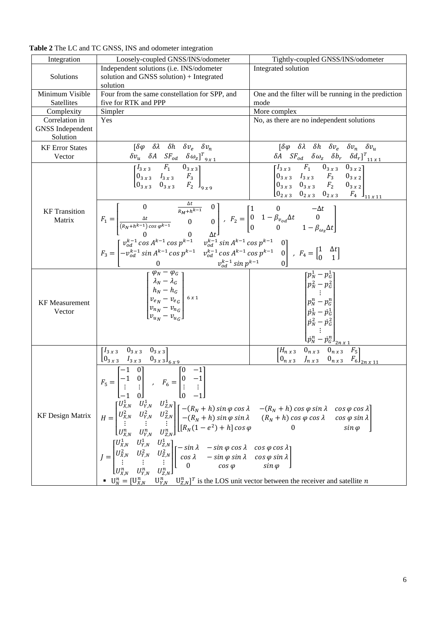| Loosely-coupled GNSS/INS/odometer                           | Tightly-coupled GNSS/INS/odometer                                                                                                                                                                                                                                                                                                                                                                                                                                                                                                                                                                                                                                                                                                                                                                                                                                                                                                                                                                                                                                                    |  |
|-------------------------------------------------------------|--------------------------------------------------------------------------------------------------------------------------------------------------------------------------------------------------------------------------------------------------------------------------------------------------------------------------------------------------------------------------------------------------------------------------------------------------------------------------------------------------------------------------------------------------------------------------------------------------------------------------------------------------------------------------------------------------------------------------------------------------------------------------------------------------------------------------------------------------------------------------------------------------------------------------------------------------------------------------------------------------------------------------------------------------------------------------------------|--|
| Independent solutions (i.e. INS/odometer                    | Integrated solution                                                                                                                                                                                                                                                                                                                                                                                                                                                                                                                                                                                                                                                                                                                                                                                                                                                                                                                                                                                                                                                                  |  |
| solution and GNSS solution) + Integrated                    |                                                                                                                                                                                                                                                                                                                                                                                                                                                                                                                                                                                                                                                                                                                                                                                                                                                                                                                                                                                                                                                                                      |  |
| solution                                                    |                                                                                                                                                                                                                                                                                                                                                                                                                                                                                                                                                                                                                                                                                                                                                                                                                                                                                                                                                                                                                                                                                      |  |
| Four from the same constellation for SPP, and               | One and the filter will be running in the prediction                                                                                                                                                                                                                                                                                                                                                                                                                                                                                                                                                                                                                                                                                                                                                                                                                                                                                                                                                                                                                                 |  |
| five for RTK and PPP                                        | mode                                                                                                                                                                                                                                                                                                                                                                                                                                                                                                                                                                                                                                                                                                                                                                                                                                                                                                                                                                                                                                                                                 |  |
| Simpler                                                     | More complex                                                                                                                                                                                                                                                                                                                                                                                                                                                                                                                                                                                                                                                                                                                                                                                                                                                                                                                                                                                                                                                                         |  |
| Yes                                                         | No, as there are no independent solutions                                                                                                                                                                                                                                                                                                                                                                                                                                                                                                                                                                                                                                                                                                                                                                                                                                                                                                                                                                                                                                            |  |
|                                                             |                                                                                                                                                                                                                                                                                                                                                                                                                                                                                                                                                                                                                                                                                                                                                                                                                                                                                                                                                                                                                                                                                      |  |
|                                                             |                                                                                                                                                                                                                                                                                                                                                                                                                                                                                                                                                                                                                                                                                                                                                                                                                                                                                                                                                                                                                                                                                      |  |
|                                                             | $\begin{bmatrix} \delta \varphi & \delta \lambda & \delta h & \delta v_e & \delta v_n & \delta v_u \end{bmatrix}$                                                                                                                                                                                                                                                                                                                                                                                                                                                                                                                                                                                                                                                                                                                                                                                                                                                                                                                                                                    |  |
|                                                             |                                                                                                                                                                                                                                                                                                                                                                                                                                                                                                                                                                                                                                                                                                                                                                                                                                                                                                                                                                                                                                                                                      |  |
|                                                             |                                                                                                                                                                                                                                                                                                                                                                                                                                                                                                                                                                                                                                                                                                                                                                                                                                                                                                                                                                                                                                                                                      |  |
|                                                             |                                                                                                                                                                                                                                                                                                                                                                                                                                                                                                                                                                                                                                                                                                                                                                                                                                                                                                                                                                                                                                                                                      |  |
|                                                             |                                                                                                                                                                                                                                                                                                                                                                                                                                                                                                                                                                                                                                                                                                                                                                                                                                                                                                                                                                                                                                                                                      |  |
|                                                             | $\begin{bmatrix} p_N^1-p_G^1 \ p_N^2-p_G^2 \ \vdots \ p_N^n-p_G^n \ \dot{p}_N^1-p_G^1 \ \dot{p}_N^2-p_G^2 \ \vdots \ \dot{p}_N^n-p_G^n \ \vdots \end{bmatrix}$                                                                                                                                                                                                                                                                                                                                                                                                                                                                                                                                                                                                                                                                                                                                                                                                                                                                                                                       |  |
| $\begin{bmatrix} I_{3x3} & 0_{3x3} & 0_{3x3} \end{bmatrix}$ | $\frac{H_{n}x_{3}}{\begin{bmatrix}H_{n}x_{3} & 0_{n}x_{3} & 0_{n}x_{3} & F_{5} \\ 0_{n}x_{3} & J_{n}x_{3} & 0_{n}x_{3} & F_{6} \end{bmatrix}_{2n}x_{11}}$                                                                                                                                                                                                                                                                                                                                                                                                                                                                                                                                                                                                                                                                                                                                                                                                                                                                                                                            |  |
|                                                             |                                                                                                                                                                                                                                                                                                                                                                                                                                                                                                                                                                                                                                                                                                                                                                                                                                                                                                                                                                                                                                                                                      |  |
|                                                             | $\begin{bmatrix} \delta \varphi & \delta \lambda & \delta h & \delta v_e & \delta v_n \end{bmatrix}$<br>$\begin{array}{ccccc} \delta v_u & \delta A & S F_{od} & \delta \omega_z]^T_{9x1} \\ \hline \left[ \begin{matrix} I_{3x3} & F_1 & 0_{3x3} \\ 0_{3x3} & I_{3x3} & F_3 \\ 0_{3x3} & 0_{3x3} & F_2 \end{matrix} \right]_{9x9} \end{array}$<br>$F_1=\begin{bmatrix} 0 & \frac{\Delta t}{R_M+h^{k-1}} & 0\\ \frac{\Delta t}{(R_N+h^{k-1})\cos\varphi^{k-1}} & 0 & 0\\ 0 & 0 & \Delta t \end{bmatrix},\;\; F_2=\begin{bmatrix} 1 & 0 & -\Delta t\\ 0 & 1-\beta_{v_{od}}\Delta t & 0\\ 0 & 0 & 1-\beta_{\omega_z}\Delta t \end{bmatrix}\\ F_3=\begin{bmatrix} \nu_{od}^{k-1}\cos A^{k-1}\cos p^{k-1} & \nu_{od}^{k-1}\sin A^{k-1}\cos p^{k-1} & 0\\ -\nu_{od}^{k-1}\sin A^{k-$<br>$\begin{bmatrix} \phi_N - \phi_G \\ \lambda_N - \lambda_G \\ h_N - h_G \\ v_{e_N} - v_{e_G} \\ v_{n_N} - v_{n_G} \\ v_{u_N} - v_{u_G} \end{bmatrix} \text{ s.t}$<br>$\bullet$ $U_N^n = [U_{X,N}^n \quad U_{Y,N}^n \quad U_{Z,N}^n]^T$ is the LOS unit vector between the receiver and satellite n |  |

**Table 2** The LC and TC GNSS, INS and odometer integration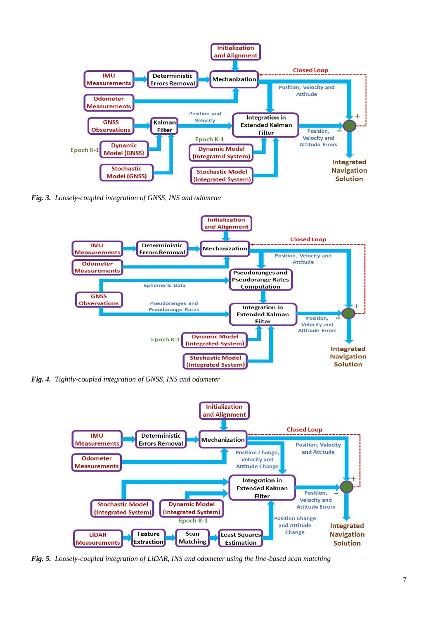

*Fig. 3. Loosely-coupled integration of GNSS, INS and odometer*



*Fig. 4. Tightly-coupled integration of GNSS, INS and odometer*



*Fig. 5. Loosely-coupled integration of LiDAR, INS and odometer using the line-based scan matching*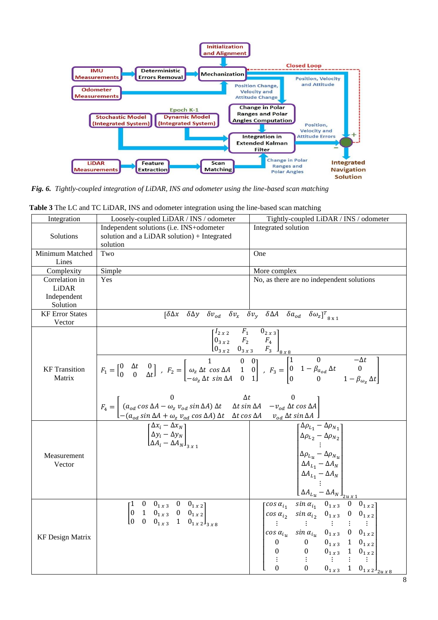

*Fig. 6. Tightly-coupled integration of LiDAR, INS and odometer using the line-based scan matching*

| Integration                    | Loosely-coupled LiDAR / INS / odometer                                                                                                                                                                                                                                                                                                                                                                                                                                                                                                                               | Tightly-coupled LiDAR / INS / odometer                                                                                                                                                                                                                                                                                                                                                                                          |
|--------------------------------|----------------------------------------------------------------------------------------------------------------------------------------------------------------------------------------------------------------------------------------------------------------------------------------------------------------------------------------------------------------------------------------------------------------------------------------------------------------------------------------------------------------------------------------------------------------------|---------------------------------------------------------------------------------------------------------------------------------------------------------------------------------------------------------------------------------------------------------------------------------------------------------------------------------------------------------------------------------------------------------------------------------|
| Solutions                      | Independent solutions (i.e. INS+odometer<br>solution and a LiDAR solution) + Integrated<br>solution                                                                                                                                                                                                                                                                                                                                                                                                                                                                  | Integrated solution                                                                                                                                                                                                                                                                                                                                                                                                             |
| Minimum Matched                | Two                                                                                                                                                                                                                                                                                                                                                                                                                                                                                                                                                                  | One                                                                                                                                                                                                                                                                                                                                                                                                                             |
| Lines                          |                                                                                                                                                                                                                                                                                                                                                                                                                                                                                                                                                                      |                                                                                                                                                                                                                                                                                                                                                                                                                                 |
| Complexity                     | Simple                                                                                                                                                                                                                                                                                                                                                                                                                                                                                                                                                               | More complex                                                                                                                                                                                                                                                                                                                                                                                                                    |
| Correlation in                 | Yes                                                                                                                                                                                                                                                                                                                                                                                                                                                                                                                                                                  | No, as there are no independent solutions                                                                                                                                                                                                                                                                                                                                                                                       |
| LiDAR                          |                                                                                                                                                                                                                                                                                                                                                                                                                                                                                                                                                                      |                                                                                                                                                                                                                                                                                                                                                                                                                                 |
| Independent                    |                                                                                                                                                                                                                                                                                                                                                                                                                                                                                                                                                                      |                                                                                                                                                                                                                                                                                                                                                                                                                                 |
| Solution                       |                                                                                                                                                                                                                                                                                                                                                                                                                                                                                                                                                                      |                                                                                                                                                                                                                                                                                                                                                                                                                                 |
| <b>KF</b> Error States         |                                                                                                                                                                                                                                                                                                                                                                                                                                                                                                                                                                      | $\overline{\begin{bmatrix} \delta \Delta x & \delta \Delta y & \delta v_{od} \end{bmatrix}}$ $\delta v_x$ $\delta v_y$ $\delta \Delta A$ $\delta a_{od}$ $\delta \omega_z \overline{\begin{bmatrix} T & 0 \\ 0 & 0 \end{bmatrix}}$                                                                                                                                                                                              |
| Vector                         |                                                                                                                                                                                                                                                                                                                                                                                                                                                                                                                                                                      |                                                                                                                                                                                                                                                                                                                                                                                                                                 |
|                                |                                                                                                                                                                                                                                                                                                                                                                                                                                                                                                                                                                      |                                                                                                                                                                                                                                                                                                                                                                                                                                 |
|                                |                                                                                                                                                                                                                                                                                                                                                                                                                                                                                                                                                                      |                                                                                                                                                                                                                                                                                                                                                                                                                                 |
| <b>KF</b> Transition<br>Matrix | $\begin{bmatrix} I_{2 \, x \, 2} & F_1 & 0_{2 \, x \, 3} \\ 0_{3 \, x \, 2} & F_2 & F_4 \\ 0_{3 \, x \, 2} & 0_{3 \, x \, 3} & F_3 \end{bmatrix}_{8 \, x \, 8}$<br>$\begin{bmatrix} F_1 = \begin{bmatrix} 0 & \Delta t & 0 \\ 0 & \Delta t \end{bmatrix} \end{bmatrix} \ , \ F_2 = \begin{bmatrix} 1 & 0 & 0 \\ \omega_z \, \Delta t \, \cos \Delta A & 1 & 0 \\ -\omega_z \, \Delta t \, \sin \Delta A & 0 & 1 \end{bmatrix} \$                                                                                                                                     |                                                                                                                                                                                                                                                                                                                                                                                                                                 |
|                                | $F_4=\begin{bmatrix} 0 & \Delta t & 0 \\ \left(a_{od}\cos\Delta A-\omega_z\,v_{od}\sin\Delta A\right)\Delta t & \Delta t\sin\Delta A & -v_{od}\,\Delta t\cos\Delta A \\ - \left(a_{od}\sin\Delta A+\omega_z\,v_{od}\cos\Delta A\right)\Delta t & \Delta t\cos\Delta A & v_{od}\,\Delta t\,\sin\Delta A \\ \left[\begin{matrix} \Delta x_i-\Delta x_N \\ \Delta y_i-\Delta y_N \\ \Delta A_i-\Delta A_N \end{matrix}\right] & \left[\begin{matrix} \Delta \rho_{L_1}-\Delta x_i \\ \Delta \rho_{L_2}-\Delta x_i \\ \Delta \rho_{L_2}\end{matrix}\right] \end{bmatrix$ |                                                                                                                                                                                                                                                                                                                                                                                                                                 |
| Measurement<br>Vector          |                                                                                                                                                                                                                                                                                                                                                                                                                                                                                                                                                                      | $\lceil \Delta \rho_{L_1} - \Delta \rho_{N_1} \rceil$<br>$\begin{cases} \Delta \rho_{L_2} - \Delta \rho_{N_2} \\ \vdots \\ \Delta \rho_{L_u} - \Delta \rho_{N_u} \end{cases}$<br>$\Delta A_{L_1} - \Delta A_N$<br>$\frac{\begin{vmatrix} \Delta A_{L_1} & \Delta A_N \\ \Delta A_{L_1} & -\Delta A_N \end{vmatrix}}{\begin{vmatrix} \cos \alpha_{i_1} & \sin \alpha_{i_1} & 0_{1 \times 3} & 0 & 0_{1 \times 2} \end{vmatrix}}$ |
| <b>KF Design Matrix</b>        | $\begin{bmatrix} 1 & 0 & 0_{1x3} & 0 & 0_{1x2} \\ 0 & 1 & 0_{1x3} & 0 & 0_{1x2} \\ 0 & 0 & 0_{1x3} & 1 & 0_{1x2} \end{bmatrix}_{3x8}$                                                                                                                                                                                                                                                                                                                                                                                                                                | $\begin{bmatrix} \cos \alpha_{i_1} & \sin \alpha_{i_1} & \cos \alpha_{i_2} \\ \cos \alpha_{i_2} & \sin \alpha_{i_2} & 0_{1x3} & 0 & 0_{1x2} \\ \vdots & \vdots & \vdots & \vdots & \vdots \\ \cos \alpha_{i_u} & \sin \alpha_{i_u} & 0_{1x3} & 0 & 0_{1x2} \\ 0 & 0 & 0_{1x3} & 1 & 0_{1x2} \\ 0 & 0 & 0_{1x3} & 1 & 0_{1x2} \\ \vdots & \vdots & \vdots & \vdots & \vdots \\ 0 & 0 & 0_{1x3} & 1 & $                           |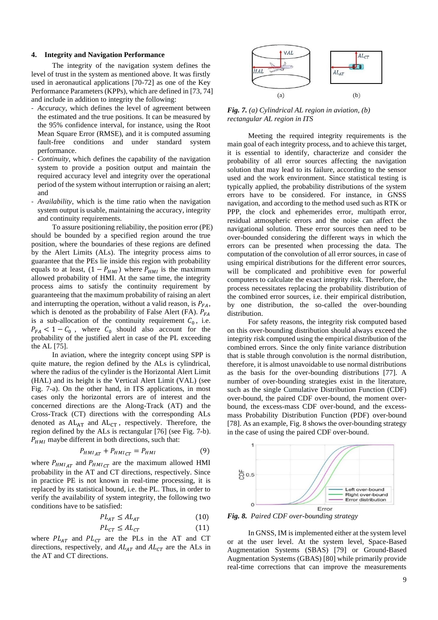## **4. Integrity and Navigation Performance**

The integrity of the navigation system defines the level of trust in the system as mentioned above. It was firstly used in aeronautical applications [70-72] as one of the Key Performance Parameters (KPPs), which are defined in [73, 74] and include in addition to integrity the following:

- *Accuracy*, which defines the level of agreement between the estimated and the true positions. It can be measured by the 95% confidence interval, for instance, using the Root Mean Square Error (RMSE), and it is computed assuming fault-free conditions and under standard system performance.
- *Continuity*, which defines the capability of the navigation system to provide a position output and maintain the required accuracy level and integrity over the operational period of the system without interruption or raising an alert; and
- *Availability*, which is the time ratio when the navigation system output is usable, maintaining the accuracy, integrity and continuity requirements.

To assure positioning reliability, the position error (PE) should be bounded by a specified region around the true position, where the boundaries of these regions are defined by the Alert Limits (ALs). The integrity process aims to guarantee that the PEs lie inside this region with probability equals to at least,  $(1 - P_{HMI})$  where  $P_{HMI}$  is the maximum allowed probability of HMI. At the same time, the integrity process aims to satisfy the continuity requirement by guaranteeing that the maximum probability of raising an alert and interrupting the operation, without a valid reason, is  $P_{FA}$ , which is denoted as the probability of False Alert (FA).  $P_{FA}$ is a sub-allocation of the continuity requirement  $C_0$ , i.e.  $P_{FA}$  < 1 –  $C_0$ , where  $C_0$  should also account for the probability of the justified alert in case of the PL exceeding the AL [75].

In aviation, where the integrity concept using SPP is quite mature, the region defined by the ALs is cylindrical, where the radius of the cylinder is the Horizontal Alert Limit (HAL) and its height is the Vertical Alert Limit (VAL) (see Fig. 7-a). On the other hand, in ITS applications, in most cases only the horizontal errors are of interest and the concerned directions are the Along-Track (AT) and the Cross-Track (CT) directions with the corresponding ALs denoted as  $AL_{AT}$  and  $AL_{CT}$ , respectively. Therefore, the region defined by the ALs is rectangular [76] (see Fig. 7-b).  $P_{HMI}$  maybe different in both directions, such that:

$$
P_{HMI_{AT}} + P_{HMI_{CT}} = P_{HMI} \tag{9}
$$

where  $P_{HMI_{AT}}$  and  $P_{HMI_{CT}}$  are the maximum allowed HMI probability in the AT and CT directions, respectively. Since in practice PE is not known in real-time processing, it is replaced by its statistical bound, i.e. the PL. Thus, in order to verify the availability of system integrity, the following two conditions have to be satisfied:

$$
PL_{AT} \le AL_{AT} \tag{10}
$$

$$
PL_{CT} \le AL_{CT} \tag{11}
$$

where  $PL_{AT}$  and  $PL_{CT}$  are the PLs in the AT and CT directions, respectively, and  $AL_{AT}$  and  $AL_{CT}$  are the ALs in the AT and CT directions.



*Fig. 7. (a) Cylindrical AL region in aviation, (b) rectangular AL region in ITS*

Meeting the required integrity requirements is the main goal of each integrity process, and to achieve this target, it is essential to identify, characterize and consider the probability of all error sources affecting the navigation solution that may lead to its failure, according to the sensor used and the work environment. Since statistical testing is typically applied, the probability distributions of the system errors have to be considered. For instance, in GNSS navigation, and according to the method used such as RTK or PPP, the clock and ephemerides error, multipath error, residual atmospheric errors and the noise can affect the navigational solution. These error sources then need to be over-bounded considering the different ways in which the errors can be presented when processing the data. The computation of the convolution of all error sources, in case of using empirical distributions for the different error sources, will be complicated and prohibitive even for powerful computers to calculate the exact integrity risk. Therefore, the process necessitates replacing the probability distribution of the combined error sources, i.e. their empirical distribution, by one distribution, the so-called the over-bounding distribution.

For safety reasons, the integrity risk computed based on this over-bounding distribution should always exceed the integrity risk computed using the empirical distribution of the combined errors. Since the only finite variance distribution that is stable through convolution is the normal distribution, therefore, it is almost unavoidable to use normal distributions as the basis for the over-bounding distributions [77]. A number of over-bounding strategies exist in the literature, such as the single Cumulative Distribution Function (CDF) over-bound, the paired CDF over-bound, the moment overbound, the excess-mass CDF over-bound, and the excessmass Probability Distribution Function (PDF) over-bound [78]. As an example, Fig. 8 shows the over-bounding strategy in the case of using the paired CDF over-bound.



*Fig. 8. Paired CDF over-bounding strategy*

In GNSS, IM is implemented either at the system level or at the user level. At the system level, Space-Based Augmentation Systems (SBAS) [79] or Ground-Based Augmentation Systems (GBAS) [80] while primarily provide real-time corrections that can improve the measurements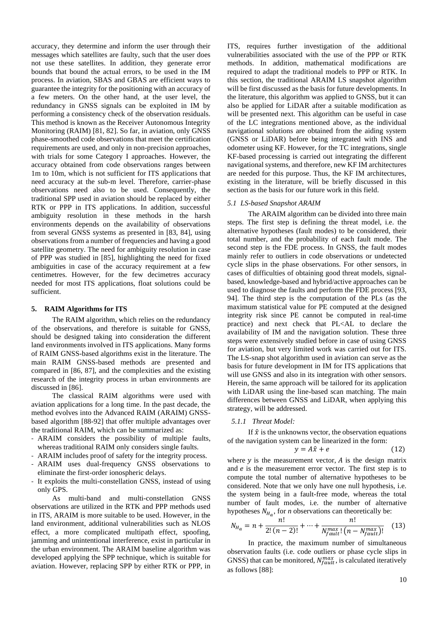accuracy, they determine and inform the user through their messages which satellites are faulty, such that the user does not use these satellites. In addition, they generate error bounds that bound the actual errors, to be used in the IM process. In aviation, SBAS and GBAS are efficient ways to guarantee the integrity for the positioning with an accuracy of a few meters. On the other hand, at the user level, the redundancy in GNSS signals can be exploited in IM by performing a consistency check of the observation residuals. This method is known as the Receiver Autonomous Integrity Monitoring (RAIM) [81, 82]. So far, in aviation, only GNSS phase-smoothed code observations that meet the certification requirements are used, and only in non-precision approaches, with trials for some Category I approaches. However, the accuracy obtained from code observations ranges between 1m to 10m, which is not sufficient for ITS applications that need accuracy at the sub-m level. Therefore, carrier-phase observations need also to be used. Consequently, the traditional SPP used in aviation should be replaced by either RTK or PPP in ITS applications. In addition, successful ambiguity resolution in these methods in the harsh environments depends on the availability of observations from several GNSS systems as presented in [83, 84], using observations from a number of frequencies and having a good satellite geometry. The need for ambiguity resolution in case of PPP was studied in [85], highlighting the need for fixed ambiguities in case of the accuracy requirement at a few centimetres. However, for the few decimetres accuracy needed for most ITS applications, float solutions could be sufficient.

## **5. RAIM Algorithms for ITS**

The RAIM algorithm, which relies on the redundancy of the observations, and therefore is suitable for GNSS, should be designed taking into consideration the different land environments involved in ITS applications. Many forms of RAIM GNSS-based algorithms exist in the literature. The main RAIM GNSS-based methods are presented and compared in [86, 87], and the complexities and the existing research of the integrity process in urban environments are discussed in [86].

The classical RAIM algorithms were used with aviation applications for a long time. In the past decade, the method evolves into the Advanced RAIM (ARAIM) GNSSbased algorithm [88-92] that offer multiple advantages over the traditional RAIM, which can be summarized as:

- ARAIM considers the possibility of multiple faults, whereas traditional RAIM only considers single faults.
- ARAIM includes proof of safety for the integrity process.
- ARAIM uses dual-frequency GNSS observations to eliminate the first-order ionospheric delays.
- It exploits the multi-constellation GNSS, instead of using only GPS.

As multi-band and multi-constellation GNSS observations are utilized in the RTK and PPP methods used in ITS, ARAIM is more suitable to be used. However, in the land environment, additional vulnerabilities such as NLOS effect, a more complicated multipath effect, spoofing, jamming and unintentional interference, exist in particular in the urban environment. The ARAIM baseline algorithm was developed applying the SPP technique, which is suitable for aviation. However, replacing SPP by either RTK or PPP, in

ITS, requires further investigation of the additional vulnerabilities associated with the use of the PPP or RTK methods. In addition, mathematical modifications are required to adapt the traditional models to PPP or RTK. In this section, the traditional ARAIM LS snapshot algorithm will be first discussed as the basis for future developments. In the literature, this algorithm was applied to GNSS, but it can also be applied for LiDAR after a suitable modification as will be presented next. This algorithm can be useful in case of the LC integrations mentioned above, as the individual navigational solutions are obtained from the aiding system (GNSS or LiDAR) before being integrated with INS and odometer using KF. However, for the TC integrations, single KF-based processing is carried out integrating the different navigational systems, and therefore, new KF IM architectures are needed for this purpose. Thus, the KF IM architectures, existing in the literature, will be briefly discussed in this section as the basis for our future work in this field.

## *5.1 LS-based Snapshot ARAIM*

The ARAIM algorithm can be divided into three main steps. The first step is defining the threat model, i.e. the alternative hypotheses (fault modes) to be considered, their total number, and the probability of each fault mode. The second step is the FDE process. In GNSS, the fault modes mainly refer to outliers in code observations or undetected cycle slips in the phase observations. For other sensors, in cases of difficulties of obtaining good threat models, signalbased, knowledge-based and hybrid/active approaches can be used to diagnose the faults and perform the FDE process [93, 94]. The third step is the computation of the PLs (as the maximum statistical value for PE computed at the designed integrity risk since PE cannot be computed in real-time practice) and next check that PL<AL to declare the availability of IM and the navigation solution. These three steps were extensively studied before in case of using GNSS for aviation, but very limited work was carried out for ITS. The LS-snap shot algorithm used in aviation can serve as the basis for future development in IM for ITS applications that will use GNSS and also in its integration with other sensors. Herein, the same approach will be tailored for its application with LiDAR using the line-based scan matching. The main differences between GNSS and LiDAR, when applying this strategy, will be addressed.

#### *5.1.1 Threat Model:*

If  $\hat{x}$  is the unknowns vector, the observation equations of the navigation system can be linearized in the form:

$$
y = A\hat{x} + e \tag{12}
$$

where  $y$  is the measurement vector,  $A$  is the design matrix and  $e$  is the measurement error vector. The first step is to compute the total number of alternative hypotheses to be considered. Note that we only have one null hypothesis, i.e. the system being in a fault-free mode, whereas the total number of fault modes, i.e. the number of alternative hypotheses  $N_{H_a}$ , for *n* observations can theoretically be:

$$
N_{H_a} = n + \frac{n!}{2! (n-2)!} + \dots + \frac{n!}{N_{fault}^{max}! (n - N_{fault}^{max})!}
$$
 (13)

In practice, the maximum number of simultaneous observation faults (i.e. code outliers or phase cycle slips in GNSS) that can be monitored,  $N_{fault}^{max}$ , is calculated iteratively as follows [88]: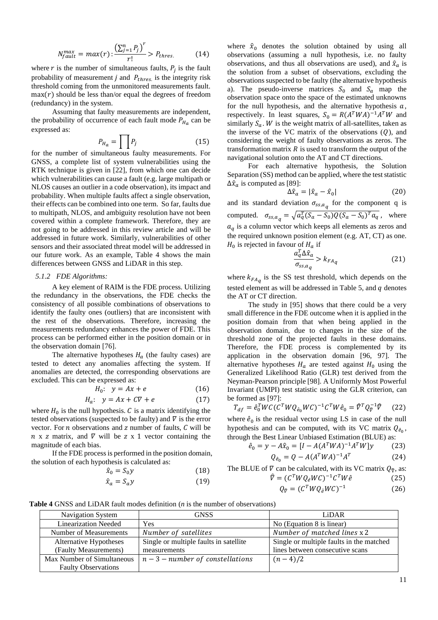$$
N_{fault}^{max} = max(r) : \frac{\left(\sum_{j=1}^{n} P_j\right)^r}{r!} > P_{thres.} \tag{14}
$$

where r is the number of simultaneous faults,  $P_j$  is the fault probability of measurement  $j$  and  $P_{thres.}$  is the integrity risk threshold coming from the unmonitored measurements fault.  $max(r)$  should be less than/or equal the degrees of freedom (redundancy) in the system.

Assuming that faulty measurements are independent, the probability of occurrence of each fault mode  $P_{H_a}$  can be expressed as:

$$
P_{H_a} = \prod_{j} P_j
$$
 (15)

for the number of simultaneous faulty measurements. For GNSS, a complete list of system vulnerabilities using the RTK technique is given in [22], from which one can decide which vulnerabilities can cause a fault (e.g. large multipath or NLOS causes an outlier in a code observation), its impact and probability. When multiple faults affect a single observation, their effects can be combined into one term. So far, faults due to multipath, NLOS, and ambiguity resolution have not been covered within a complete framework. Therefore, they are not going to be addressed in this review article and will be addressed in future work. Similarly, vulnerabilities of other sensors and their associated threat model will be addressed in our future work. As an example, Table 4 shows the main differences between GNSS and LiDAR in this step.

#### *5.1.2 FDE Algorithms:*

A key element of RAIM is the FDE process. Utilizing the redundancy in the observations, the FDE checks the consistency of all possible combinations of observations to identify the faulty ones (outliers) that are inconsistent with the rest of the observations. Therefore, increasing the measurements redundancy enhances the power of FDE. This process can be performed either in the position domain or in the observation domain [76].

The alternative hypotheses  $H_a$  (the faulty cases) are tested to detect any anomalies affecting the system. If anomalies are detected, the corresponding observations are excluded. This can be expressed as:

$$
H_0: \quad y = Ax + e \tag{16}
$$

$$
H_a: \quad y = Ax + C\overline{V} + e \tag{17}
$$

where  $H_0$  is the null hypothesis.  $C$  is a matrix identifying the tested observations (suspected to be faulty) and  $\nabla$  is the error vector. For  $n$  observations and  $z$  number of faults,  $C$  will be  $n \times z$  matrix, and  $\nabla$  will be  $z \times 1$  vector containing the magnitude of each bias.

If the FDE process is performed in the position domain, the solution of each hypothesis is calculated as:

$$
\hat{x}_0 = S_0 y \tag{18}
$$

$$
\hat{x}_a = S_a y \tag{19}
$$

where  $\hat{x}_0$  denotes the solution obtained by using all observations (assuming a null hypothesis, i.e. no faulty observations, and thus all observations are used), and  $\hat{x}_a$  is the solution from a subset of observations, excluding the observations suspected to be faulty (the alternative hypothesis a). The pseudo-inverse matrices  $S_0$  and  $S_a$  map the observation space onto the space of the estimated unknowns for the null hypothesis, and the alternative hypothesis  $a$ , respectively. In least squares,  $S_0 = R(A^TWA)^{-1}A^TW$  and similarly  $S_a$ . W is the weight matrix of all-satellites, taken as the inverse of the VC matrix of the observations  $(Q)$ , and considering the weight of faulty observations as zeros. The transformation matrix  $R$  is used to transform the output of the navigational solution onto the AT and CT directions.

For each alternative hypothesis, the Solution Separation (SS) method can be applied, where the test statistic  $\Delta \hat{x}_a$  is computed as [89]:

$$
\Delta \hat{x}_a = |\hat{x}_a - \hat{x}_0| \tag{20}
$$

and its standard deviation  $\sigma_{ss,a_q}$  for the component q is computed.  $\sigma_{ss,a_q} = \sqrt{a_q^T (S_a - S_0) Q (S_a - S_0)^T a_q}$ , where  $a_{q}$  is a column vector which keeps all elements as zeros and the required unknown position element (e.g. AT, CT) as one.  $H_0$  is rejected in favour of  $H_a$  if

$$
\frac{a_q^T \Delta \hat{x}_a}{\sigma_{ss,a_q}} > k_{FA_q} \tag{21}
$$

where  $k_{FAq}$  is the SS test threshold, which depends on the tested element as will be addressed in Table 5, and  $q$  denotes the AT or CT direction.

The study in [95] shows that there could be a very small difference in the FDE outcome when it is applied in the position domain from that when being applied in the observation domain, due to changes in the size of the threshold zone of the projected faults in these domains. Therefore, the FDE process is complemented by its application in the observation domain [96, 97]. The alternative hypotheses  $H_a$  are tested against  $H_0$  using the Generalized Likelihood Ratio (GLR) test derived from the Neyman-Pearson principle [98]. A Uniformly Most Powerful Invariant (UMPI) test statistic using the GLR criterion, can be formed as [97]:

$$
T_{df} = \hat{e}_0^T W C (C^T W Q_{\hat{e}_0} W C)^{-1} C^T W \hat{e}_0 = \hat{\nabla}^T Q_{\hat{\nabla}}^{-1} \hat{\nabla}
$$
 (22)

where  $\hat{e}_0$  is the residual vector using LS in case of the null hypothesis and can be computed, with its VC matrix  $Q_{\hat{e}_0}$ , through the Best Linear Unbiased Estimation (BLUE) as:

$$
\hat{e}_0 = y - A\hat{x}_0 = [I - A(A^TWA)^{-1}A^TW]y \tag{23}
$$

$$
Q_{\hat{e}_0} = Q - A(A^TWA)^{-1}A^T \tag{24}
$$

The BLUE of  $\nabla$  can be calculated, with its VC matrix  $Q_{\hat{\nabla}}$ , as:

 $\widehat{V}$ 

$$
= (C^T W Q_{\hat{e}} W C)^{-1} C^T W \hat{e}
$$
 (25)

$$
Q_{\hat{\nabla}} = (C^T W Q_{\hat{e}} W C)^{-1}
$$
 (26)

**Table 4** GNSS and LiDAR fault modes definition (*n* is the number of observations)

| Navigation System           | <b>GNSS</b>                            | LiDAR                                    |
|-----------------------------|----------------------------------------|------------------------------------------|
| <b>Linearization Needed</b> | Yes                                    | No (Equation 8 is linear)                |
| Number of Measurements      | Number of satellites                   | Number of matched lines x 2              |
| Alternative Hypotheses      | Single or multiple faults in satellite | Single or multiple faults in the matched |
| (Faulty Measurements)       | measurements                           | lines between consecutive scans          |
| Max Number of Simultaneous  | $n-3$ – number of constellations       | $(n-4)/2$                                |
| <b>Faulty Observations</b>  |                                        |                                          |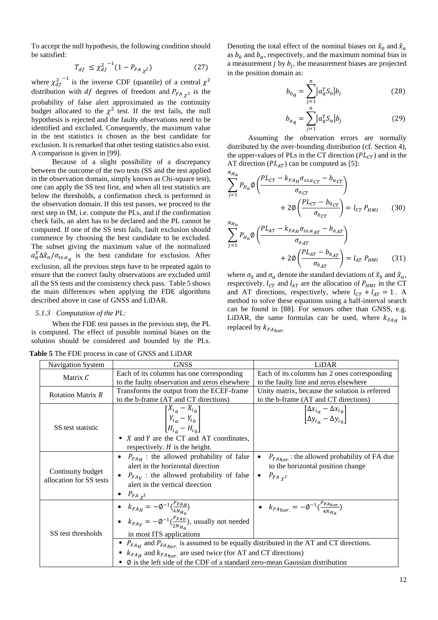To accept the null hypothesis, the following condition should be satisfied:

$$
T_{df} \leq \chi_{df}^{2^{-1}}(1 - P_{FA\chi^{2}}) \tag{27}
$$

where  $\chi_{df}^{2}$ <sup>-1</sup> is the inverse CDF (quantile) of a central  $\chi^{2}$ distribution with  $df$  degrees of freedom and  $P_{FA\chi^2}$  is the probability of false alert approximated as the continuity budget allocated to the  $\chi^2$  test. If the test fails, the null hypothesis is rejected and the faulty observations need to be identified and excluded. Consequently, the maximum value in the test statistics is chosen as the best candidate for exclusion. It is remarked that other testing statistics also exist. A comparison is given in [99].

Because of a slight possibility of a discrepancy between the outcome of the two tests (SS and the test applied in the observation domain, simply known as Chi-square test), one can apply the SS test first, and when all test statistics are below the thresholds, a confirmation check is performed in the observation domain. If this test passes, we proceed to the next step in IM, i.e. compute the PLs, and if the confirmation check fails, an alert has to be declared and the PL cannot be computed. If one of the SS tests fails, fault exclusion should commence by choosing the best candidate to be excluded. The subset giving the maximum value of the normalized  $a_q^T \Delta \hat{x}_a / \sigma_{ss,a_q}$  is the best candidate for exclusion. After exclusion, all the previous steps have to be repeated again to ensure that the correct faulty observations are excluded until all the SS tests and the consistency check pass. Table 5 shows the main differences when applying the FDE algorithms

## *5.1.3 Computation of the PL:*

described above in case of GNSS and LiDAR.

When the FDE test passes in the previous step, the PL is computed. The effect of possible nominal biases on the solution should be considered and bounded by the PLs.

| <b>Table 5</b> The FDE process in case of GNSS and LiDAR |  |  |
|----------------------------------------------------------|--|--|
|----------------------------------------------------------|--|--|

Denoting the total effect of the nominal biases on  $\hat{x}_0$  and  $\hat{x}_a$ as  $b_0$  and  $b_a$ , respectively, and the maximum nominal bias in a measurement  $j$  by  $b_j$ , the measurement biases are projected in the position domain as:

$$
b_{0q} = \sum_{j=1}^{n} |a_q^T S_0| b_j
$$
 (28)

$$
b_{a_q} = \sum_{j=1}^{n} |a_q^T S_a| b_j
$$
 (29)

Assuming the observation errors are normally distributed by the over-bounding distribution (cf. Section 4), the upper-values of PLs in the CT direction  $(PL<sub>CT</sub>)$  and in the AT direction ( $PL_{AT}$ ) can be computed as [5]:

$$
\sum_{j=1}^{N_{H_a}} P_{H_a} \phi \left( \frac{P L_{CT} - k_{FA_H} \sigma_{ss, a_{CT}} - b_{a_{CT}}}{\sigma_{a_{CT}}} \right) + 2\phi \left( \frac{P L_{CT} - b_{0_{CT}}}{\sigma_{0_{CT}}} \right) = l_{CT} P_{HMI}
$$
(30)  

$$
\sum_{p=a}^{N_{H_a}} \left( \frac{P L_{AT} - k_{FA_H} \sigma_{ss, a_{AT}} - b_{a_{AT}}}{\sigma_{0_{CT}}} \right)
$$

$$
\sum_{j=1} P_{H_a} \emptyset \left( \frac{-A_I - A_{H_f} + A_{H_f} - A_{H_f}}{\sigma_{a_{AT}}} \right) + 2 \emptyset \left( \frac{PL_{AT} - b_{0_{AT}}}{\sigma_{0_{AT}}} \right) = l_{AT} P_{HMI}
$$
(31)

where  $\sigma_0$  and  $\sigma_a$  denote the standard deviations of  $\hat{x}_0$  and  $\hat{x}_a$ , respectively.  $l_{CT}$  and  $l_{AT}$  are the allocation of  $P_{HMI}$  in the CT and AT directions, respectively, where  $l_{CT} + l_{AT} = 1$ . A method to solve these equations using a half-interval search can be found in [88]. For sensors other than GNSS, e.g. LiDAR, the same formulas can be used, where  $k_{FAH}$  is replaced by  $k_{FA_{hor.}}$ 

| Navigation System                            | <b>GNSS</b>                                                                                                                                                                                                                                                                                                                                                                                                                                                          | LiDAR                                                                                                       |
|----------------------------------------------|----------------------------------------------------------------------------------------------------------------------------------------------------------------------------------------------------------------------------------------------------------------------------------------------------------------------------------------------------------------------------------------------------------------------------------------------------------------------|-------------------------------------------------------------------------------------------------------------|
| Matrix $\mathcal C$                          | Each of its columns has one corresponding                                                                                                                                                                                                                                                                                                                                                                                                                            | Each of its columns has 2 ones corresponding                                                                |
|                                              | to the faulty observation and zeros elsewhere                                                                                                                                                                                                                                                                                                                                                                                                                        | to the faulty line and zeros elsewhere                                                                      |
| <b>Rotation Matrix R</b>                     | Transforms the output from the ECEF-frame                                                                                                                                                                                                                                                                                                                                                                                                                            | Unity matrix, because the solution is referred                                                              |
|                                              | to the b-frame (AT and CT directions)                                                                                                                                                                                                                                                                                                                                                                                                                                | to the b-frame (AT and CT directions)                                                                       |
| SS test statistic                            | $[X_{i_a} - X_{i_0}]$<br>$\begin{vmatrix} Y_{i_a} - Y_{i_0} \\ H_{i_a} - H_{i_0} \end{vmatrix}$<br>$\blacksquare$ X and Y are the CT and AT coordinates,<br>respectively. $H$ is the height.                                                                                                                                                                                                                                                                         | $\begin{bmatrix} \Delta x_{i_a} - \Delta x_{i_0} \\ \Delta y_{i_a} - \Delta y_{i_0} \end{bmatrix}$          |
| Continuity budget<br>allocation for SS tests | $P_{FA_H}$ : the allowed probability of false<br>alert in the horizontal direction<br>$P_{FA_V}$ : the allowed probability of false<br>alert in the vertical direction                                                                                                                                                                                                                                                                                               | $P_{FA_{hor}}$ : the allowed probability of FA due<br>to the horizontal position change<br>$P_{FA\gamma^2}$ |
| SS test thresholds                           | • $P_{FA\chi^2}$<br>• $k_{FAH} = -\phi^{-1}(\frac{P_{FAH}}{4N_{Ha}})$<br>• $k_{FA_V} = -\phi^{-1} \left( \frac{P_{FA_V}}{2N_{Ha}} \right)$ , usually not needed<br>in most ITS applications<br>• $P_{FA_H}$ and $P_{FA_{hor}}$ is assumed to be equally distributed in the AT and CT directions.<br>$k_{FA_H}$ and $k_{FA_{hor}}$ are used twice (for AT and CT directions)<br>$\emptyset$ is the left side of the CDF of a standard zero-mean Gaussian distribution | • $k_{FA_{hor.}} = -\phi^{-1}(\frac{P_{FA_{hor.}}}{4N_{tr}})$                                               |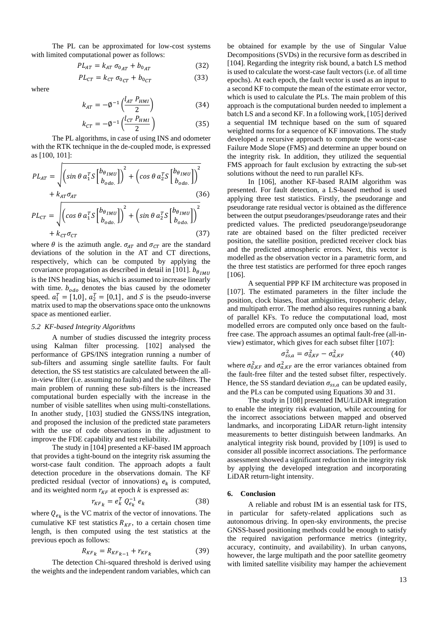The PL can be approximated for low-cost systems with limited computational power as follows:

$$
PL_{AT} = k_{AT} \sigma_{0_{AT}} + b_{0_{AT}} \tag{32}
$$

$$
PL_{CT} = k_{CT} \sigma_{0_{CT}} + b_{0_{CT}} \tag{33}
$$

where

$$
k_{AT} = -\phi^{-1} \left( \frac{l_{AT} P_{HMI}}{2} \right) \tag{34}
$$

$$
k_{CT} = -\phi^{-1}\left(\frac{l_{CT} P_{HMI}}{2}\right) \tag{35}
$$

The PL algorithms, in case of using INS and odometer with the RTK technique in the de-coupled mode, is expressed as [100, 101]:

$$
PL_{AT} = \sqrt{\left(\sin \theta a_1^T S \begin{bmatrix} b_{\theta IMU} \\ b_{odo.} \end{bmatrix}\right)^2 + \left(\cos \theta a_2^T S \begin{bmatrix} b_{\theta IMU} \\ b_{odo.} \end{bmatrix}\right)^2}
$$
  
+  $k_{AT} \sigma_{AT}$  (36)  

$$
PL_{CT} = \sqrt{\left(\cos \theta a_1^T S \begin{bmatrix} b_{\theta IMU} \\ b_{odo.} \end{bmatrix}\right)^2 + \left(\sin \theta a_2^T S \begin{bmatrix} b_{\theta IMU} \\ b_{odo.} \end{bmatrix}\right)^2}
$$
  
+  $k_{CT} \sigma_{CT}$  (37)

where  $\theta$  is the azimuth angle.  $\sigma_{AT}$  and  $\sigma_{CT}$  are the standard deviations of the solution in the AT and CT directions, respectively, which can be computed by applying the covariance propagation as described in detail in [101].  $b_{\theta_{IMII}}$ is the INS heading bias, which is assumed to increase linearly with time.  $b_{odo}$  denotes the bias caused by the odometer speed.  $a_1^T = [1,0], a_2^T = [0,1],$  and S is the pseudo-inverse matrix used to map the observations space onto the unknowns space as mentioned earlier.

#### *5.2 KF-based Integrity Algorithms*

A number of studies discussed the integrity process using Kalman filter processing. [102] analysed the performance of GPS/INS integration running a number of sub-filters and assuming single satellite faults. For fault detection, the SS test statistics are calculated between the allin-view filter (i.e. assuming no faults) and the sub-filters. The main problem of running these sub-filters is the increased computational burden especially with the increase in the number of visible satellites when using multi-constellations. In another study, [103] studied the GNSS/INS integration, and proposed the inclusion of the predicted state parameters with the use of code observations in the adjustment to improve the FDE capability and test reliability.

The study in [104] presented a KF-based IM approach that provides a tight-bound on the integrity risk assuming the worst-case fault condition. The approach adopts a fault detection procedure in the observations domain. The KF predicted residual (vector of innovations)  $e_k$  is computed, and its weighted norm  $r_{KF}$  at epoch  $k$  is expressed as:

$$
r_{KF_k} = e_k^T Q_{e_k}^{-1} e_k \tag{38}
$$

where  $Q_{e_k}$  is the VC matrix of the vector of innovations. The cumulative KF test statistics  $R_{KF}$ , to a certain chosen time length, is then computed using the test statistics at the previous epoch as follows:

$$
R_{KF_k} = R_{KF_{k-1}} + r_{KF_k} \tag{39}
$$

The detection Chi-squared threshold is derived using the weights and the independent random variables, which can

be obtained for example by the use of Singular Value Decompositions (SVDs) in the recursive form as described in [104]. Regarding the integrity risk bound, a batch LS method is used to calculate the worst-case fault vectors (i.e. of all time epochs). At each epoch, the fault vector is used as an input to a second KF to compute the mean of the estimate error vector, which is used to calculate the PLs. The main problem of this approach is the computational burden needed to implement a batch LS and a second KF. In a following work, [105] derived a sequential IM technique based on the sum of squared weighted norms for a sequence of KF innovations. The study developed a recursive approach to compute the worst-case Failure Mode Slope (FMS) and determine an upper bound on the integrity risk. In addition, they utilized the sequential FMS approach for fault exclusion by extracting the sub-set solutions without the need to run parallel KFs.

In [106], another KF-based RAIM algorithm was presented. For fault detection, a LS-based method is used applying three test statistics. Firstly, the pseudorange and pseudorange rate residual vector is obtained as the difference between the output pseudoranges/pseudorange rates and their predicted values. The predicted pseudorange/pseudorange rate are obtained based on the filter predicted receiver position, the satellite position, predicted receiver clock bias and the predicted atmospheric errors. Next, this vector is modelled as the observation vector in a parametric form, and the three test statistics are performed for three epoch ranges [106].

A sequential PPP KF IM architecture was proposed in [107]. The estimated parameters in the filter include the position, clock biases, float ambiguities, tropospheric delay, and multipath error. The method also requires running a bank of parallel KFs. To reduce the computational load, most modelled errors are computed only once based on the faultfree case. The approach assumes an optimal fault-free (all-inview) estimator, which gives for each subset filter [107]:

$$
\sigma_{ss,a}^2 = \sigma_{0,KF}^2 - \sigma_{a,KF}^2 \tag{40}
$$

where  $\sigma_{0,KF}^2$  and  $\sigma_{a,KF}^2$  are the error variances obtained from the fault-free filter and the tested subset filter, respectively. Hence, the SS standard deviation  $\sigma_{ss,a}$  can be updated easily, and the PLs can be computed using Equations 30 and 31.

The study in [108] presented IMU/LiDAR integration to enable the integrity risk evaluation, while accounting for the incorrect associations between mapped and observed landmarks, and incorporating LiDAR return-light intensity measurements to better distinguish between landmarks. An analytical integrity risk bound, provided by [109] is used to consider all possible incorrect associations. The performance assessment showed a significant reduction in the integrity risk by applying the developed integration and incorporating LiDAR return-light intensity.

## **6. Conclusion**

A reliable and robust IM is an essential task for ITS, in particular for safety-related applications such as autonomous driving. In open-sky environments, the precise GNSS-based positioning methods could be enough to satisfy the required navigation performance metrics (integrity, accuracy, continuity, and availability). In urban canyons, however, the large multipath and the poor satellite geometry with limited satellite visibility may hamper the achievement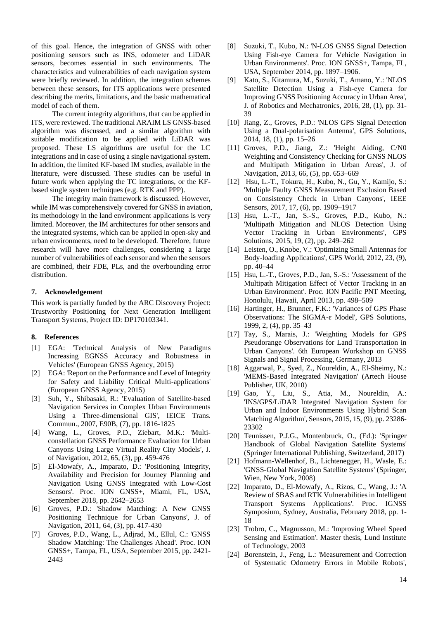of this goal. Hence, the integration of GNSS with other positioning sensors such as INS, odometer and LiDAR sensors, becomes essential in such environments. The characteristics and vulnerabilities of each navigation system were briefly reviewed. In addition, the integration schemes between these sensors, for ITS applications were presented describing the merits, limitations, and the basic mathematical model of each of them.

The current integrity algorithms, that can be applied in ITS, were reviewed. The traditional ARAIM LS GNSS-based algorithm was discussed, and a similar algorithm with suitable modification to be applied with LiDAR was proposed. These LS algorithms are useful for the LC integrations and in case of using a single navigational system. In addition, the limited KF-based IM studies, available in the literature, were discussed. These studies can be useful in future work when applying the TC integrations, or the KFbased single system techniques (e.g. RTK and PPP).

The integrity main framework is discussed. However, while IM was comprehensively covered for GNSS in aviation, its methodology in the land environment applications is very limited. Moreover, the IM architectures for other sensors and the integrated systems, which can be applied in open-sky and urban environments, need to be developed. Therefore, future research will have more challenges, considering a large number of vulnerabilities of each sensor and when the sensors are combined, their FDE, PLs, and the overbounding error distribution.

#### **7. Acknowledgement**

This work is partially funded by the ARC Discovery Project: Trustworthy Positioning for Next Generation Intelligent Transport Systems, Project ID: DP170103341.

# **8. References**

- [1] EGA: 'Technical Analysis of New Paradigms Increasing EGNSS Accuracy and Robustness in Vehicles' (European GNSS Agency, 2015)
- [2] EGA: 'Report on the Performance and Level of Integrity for Safety and Liability Critical Multi-applications' (European GNSS Agency, 2015)
- [3] Suh, Y., Shibasaki, R.: 'Evaluation of Satellite-based Navigation Services in Complex Urban Environments Using a Three-dimensional GIS', IEICE Trans. Commun., 2007, E90B, (7), pp. 1816-1825
- [4] Wang, L., Groves, P.D., Ziebart, M.K.: 'Multiconstellation GNSS Performance Evaluation for Urban Canyons Using Large Virtual Reality City Models', J. of Navigation, 2012, 65, (3), pp. 459-476
- [5] El-Mowafy, A., Imparato, D.: 'Positioning Integrity, Availability and Precision for Journey Planning and Navigation Using GNSS Integrated with Low-Cost Sensors'. Proc. ION GNSS+, Miami, FL, USA, September 2018, pp. 2642–2653
- [6] Groves, P.D.: 'Shadow Matching: A New GNSS Positioning Technique for Urban Canyons', J. of Navigation, 2011, 64, (3), pp. 417-430
- [7] Groves, P.D., Wang, L., Adjrad, M., Ellul, C.: 'GNSS Shadow Matching: The Challenges Ahead'. Proc. ION GNSS+, Tampa, FL, USA, September 2015, pp. 2421- 2443
- [8] Suzuki, T., Kubo, N.: 'N-LOS GNSS Signal Detection Using Fish-eye Camera for Vehicle Navigation in Urban Environments'. Proc. ION GNSS+, Tampa, FL, USA, September 2014, pp. 1897–1906.
- [9] Kato, S., Kitamura, M., Suzuki, T., Amano, Y.: 'NLOS Satellite Detection Using a Fish-eye Camera for Improving GNSS Positioning Accuracy in Urban Area', J. of Robotics and Mechatronics, 2016, 28, (1), pp. 31- 39
- [10] Jiang, Z., Groves, P.D.: 'NLOS GPS Signal Detection Using a Dual-polarisation Antenna', GPS Solutions, 2014, 18, (1), pp. 15–26
- [11] Groves, P.D., Jiang, Z.: 'Height Aiding, C/N0 Weighting and Consistency Checking for GNSS NLOS and Multipath Mitigation in Urban Areas', J. of Navigation, 2013, 66, (5), pp. 653–669
- [12] Hsu, L.-T., Tokura, H., Kubo, N., Gu, Y., Kamijo, S.: 'Multiple Faulty GNSS Measurement Exclusion Based on Consistency Check in Urban Canyons', IEEE Sensors, 2017, 17, (6), pp. 1909–1917
- [13] Hsu, L.-T., Jan, S.-S., Groves, P.D., Kubo, N.: 'Multipath Mitigation and NLOS Detection Using Vector Tracking in Urban Environments', GPS Solutions, 2015, 19, (2), pp. 249–262
- [14] Leisten, O., Knobe, V.: 'Optimizing Small Antennas for Body-loading Applications', GPS World, 2012, 23, (9), pp. 40–44
- [15] Hsu, L.-T., Groves, P.D., Jan, S.-S.: 'Assessment of the Multipath Mitigation Effect of Vector Tracking in an Urban Environment'. Proc. ION Pacific PNT Meeting, Honolulu, Hawaii, April 2013, pp. 498–509
- [16] Hartinger, H., Brunner, F.K.: 'Variances of GPS Phase Observations: The SIGMA-ɛ Model', GPS Solutions, 1999, 2, (4), pp. 35–43
- [17] Tay, S., Marais, J.: 'Weighting Models for GPS Pseudorange Observations for Land Transportation in Urban Canyons'. 6th European Workshop on GNSS Signals and Signal Processing, Germany, 2013
- [18] Aggarwal, P., Syed, Z., Noureldin, A., El-Sheimy, N.: 'MEMS-Based Integrated Navigation' (Artech House Publisher, UK, 2010)
- [19] Gao, Y., Liu, S., Atia, M., Noureldin, A.: 'INS/GPS/LiDAR Integrated Navigation System for Urban and Indoor Environments Using Hybrid Scan Matching Algorithm', Sensors, 2015, 15, (9), pp. 23286- 23302
- [20] Teunissen, P.J.G., Montenbruck, O., (Ed.): 'Springer Handbook of Global Navigation Satellite Systems' (Springer International Publishing, Switzerland, 2017)
- [21] Hofmann-Wellenhof, B., Lichtenegger, H., Wasle, E.: 'GNSS-Global Navigation Satellite Systems' (Springer, Wien, New York, 2008)
- [22] Imparato, D., El-Mowafy, A., Rizos, C., Wang, J.: 'A Review of SBAS and RTK Vulnerabilities in Intelligent Transport Systems Applications'. Proc. IGNSS Symposium, Sydney, Australia, February 2018, pp. 1- 18
- [23] Trobro, C., Magnusson, M.: 'Improving Wheel Speed Sensing and Estimation'. Master thesis, Lund Institute of Technology, 2003
- [24] Borenstein, J., Feng, L.: 'Measurement and Correction of Systematic Odometry Errors in Mobile Robots',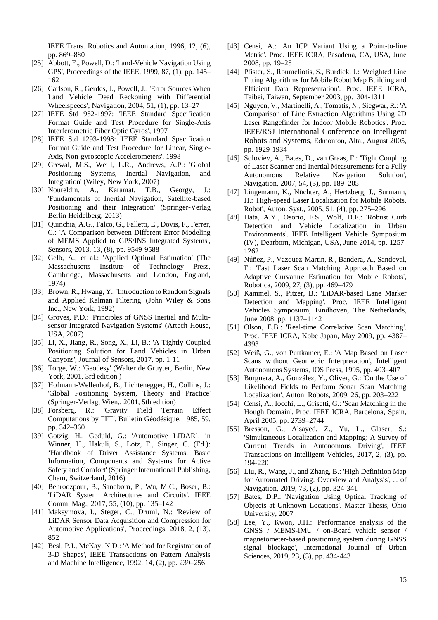IEEE Trans. Robotics and Automation, 1996, 12, (6), pp. 869–880

- [25] Abbott, E., Powell, D.: 'Land-Vehicle Navigation Using GPS', Proceedings of the IEEE, 1999, 87, (1), pp. 145– 162
- [26] Carlson, R., Gerdes, J., Powell, J.: 'Error Sources When Land Vehicle Dead Reckoning with Differential Wheelspeeds', Navigation, 2004, 51, (1), pp. 13–27
- [27] IEEE Std 952-1997: 'IEEE Standard Specification Format Guide and Test Procedure for Single-Axis Interferometric Fiber Optic Gyros', 1997
- [28] IEEE Std 1293-1998: 'IEEE Standard Specification Format Guide and Test Procedure for Linear, Single-Axis, Non-gyroscopic Accelerometers', 1998
- [29] Grewal, M.S., Weill, L.R., Andrews, A.P.: 'Global Positioning Systems, Inertial Navigation, and Integration' (Wiley, New York, 2007)
- [30] Noureldin, A., Karamat, T.B., Georgy, J.: 'Fundamentals of Inertial Navigation, Satellite-based Positioning and their Integration' (Springer-Verlag Berlin Heidelberg, 2013)
- [31] Quinchia, A.G., Falco, G., Falletti, E., Dovis, F., Ferrer, C.: 'A Comparison between Different Error Modeling of MEMS Applied to GPS/INS Integrated Systems', Sensors, 2013, 13, (8), pp. 9549-9588
- [32] Gelb, A., et al.: 'Applied Optimal Estimation' (The Massachusetts Institute of Technology Press, Cambridge, Massachusetts and London, England, 1974)
- [33] Brown, R., Hwang, Y.: 'Introduction to Random Signals and Applied Kalman Filtering' (John Wiley & Sons Inc., New York, 1992)
- [34] Groves, P.D.: 'Principles of GNSS Inertial and Multisensor Integrated Navigation Systems' (Artech House, USA, 2007)
- [35] Li, X., Jiang, R., Song, X., Li, B.: 'A Tightly Coupled Positioning Solution for Land Vehicles in Urban Canyons', Journal of Sensors, 2017, pp. 1-11
- [36] Torge, W.: 'Geodesy' (Walter de Gruyter, Berlin, New York, 2001, 3rd edition )
- [37] Hofmann-Wellenhof, B., Lichtenegger, H., Collins, J.: 'Global Positioning System, Theory and Practice' (Springer-Verlag, Wien,, 2001, 5th edition)
- [38] Forsberg, R.: 'Gravity Field Terrain Effect Computations by FFT', Bulletin Géodésique, 1985, 59, pp. 342–360
- [39] Gotzig, H., Geduld, G.: 'Automotive LIDAR', in Winner, H., Hakuli, S., Lotz, F., Singer, C. (Ed.): 'Handbook of Driver Assistance Systems, Basic Information, Components and Systems for Active Safety and Comfort' (Springer International Publishing, Cham, Switzerland, 2016)
- [40] Behroozpour, B., Sandborn, P., Wu, M.C., Boser, B.: 'LiDAR System Architectures and Circuits', IEEE Comm. Mag., 2017, 55, (10), pp. 135–142
- [41] Maksymova, I., Steger, C., Druml, N.: 'Review of LiDAR Sensor Data Acquisition and Compression for Automotive Applications', Proceedings, 2018, 2, (13), 852
- [42] Besl, P.J., McKay, N.D.: 'A Method for Registration of 3-D Shapes', IEEE Transactions on Pattern Analysis and Machine Intelligence, 1992, 14, (2), pp. 239–256
- [43] Censi, A.: 'An ICP Variant Using a Point-to-line Metric'. Proc. IEEE ICRA, Pasadena, CA, USA, June 2008, pp. 19–25
- [44] Pfister, S., Roumeliotis, S., Burdick, J.: 'Weighted Line Fitting Algorithms for Mobile Robot Map Building and Efficient Data Representation'. Proc. IEEE ICRA, Taibei, Taiwan, September 2003, pp.1304-1311
- [45] Nguyen, V., Martinelli, A., Tomatis, N., Siegwar, R.: 'A Comparison of Line Extraction Algorithms Using 2D Laser Rangefinder for Indoor Mobile Robotics'. Proc. IEEE/[RSJ International Conference on Intelligent](https://ieeexplore.ieee.org/xpl/conhome/10375/proceeding)  [Robots and Systems](https://ieeexplore.ieee.org/xpl/conhome/10375/proceeding), Edmonton, Alta., August 2005, pp. 1929-1934
- [46] Soloviev, A., Bates, D., van Graas, F.: 'Tight Coupling of Laser Scanner and Inertial Measurements for a Fully Autonomous Relative Navigation Solution', Navigation, 2007, 54, (3), pp. 189–205
- [47] Lingemann, K., Nüchter, A., Hertzberg, J., Surmann, H.: 'High-speed Laser Localization for Mobile Robots. Robot', Auton. Syst., 2005, 51, (4), pp. 275–296
- [48] Hata, A.Y., Osorio, F.S., Wolf, D.F.: 'Robust Curb Detection and Vehicle Localization in Urban Environments'. IEEE Intelligent Vehicle Symposium (IV), Dearborn, Michigan, USA, June 2014, pp. 1257- 1262
- [49] Núñez, P., Vazquez-Martin, R., Bandera, A., Sandoval, F.: 'Fast Laser Scan Matching Approach Based on Adaptive Curvature Estimation for Mobile Robots', Robotica, 2009, 27, (3), pp. 469–479
- [50] Kammel, S., Pitzer, B.: 'LiDAR-based Lane Marker Detection and Mapping'. Proc. IEEE Intelligent Vehicles Symposium, Eindhoven, The Netherlands, June 2008, pp. 1137–1142
- [51] Olson, E.B.: 'Real-time Correlative Scan Matching'. Proc. IEEE ICRA, Kobe Japan, May 2009, pp. 4387– 4393
- [52] Weiß, G., von Puttkamer, E.: 'A Map Based on Laser Scans without Geometric Interpretation', Intelligent Autonomous Systems, IOS Press, 1995, pp. 403–407
- [53] Burguera, A., González, Y., Oliver, G.: 'On the Use of Likelihood Fields to Perform Sonar Scan Matching Localization', Auton. Robots, 2009, 26, pp. 203–222
- [54] Censi, A., Iocchi, L., Grisetti, G.: 'Scan Matching in the Hough Domain'. Proc. IEEE ICRA, Barcelona, Spain, April 2005, pp. 2739–2744
- [55] Bresson, G., Alsayed, Z., Yu, L., Glaser, S.: 'Simultaneous Localization and Mapping: A Survey of Current Trends in Autonomous Driving', IEEE Transactions on Intelligent Vehicles, 2017, 2, (3), pp. 194-220
- [56] Liu, R., Wang, J., and Zhang, B.: 'High Definition Map for Automated Driving: Overview and Analysis', J. of Navigation, 2019, 73, (2), pp. 324-341
- [57] Bates, D.P.: 'Navigation Using Optical Tracking of Objects at Unknown Locations'. Master Thesis, Ohio University, 2007
- [58] Lee, Y., Kwon, J.H.: 'Performance analysis of the GNSS / MEMS-IMU / on-Board vehicle sensor / magnetometer-based positioning system during GNSS signal blockage', International Journal of Urban Sciences, 2019, 23, (3), pp. 434-443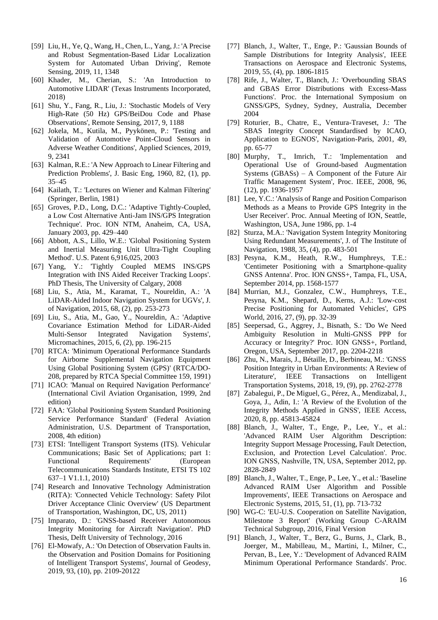- [59] Liu, H., Ye, Q., Wang, H., Chen, L., Yang, J.: 'A Precise and Robust Segmentation-Based Lidar Localization System for Automated Urban Driving', Remote Sensing, 2019, 11, 1348
- [60] Khader, M., Cherian, S.: 'An Introduction to Automotive LIDAR' (Texas Instruments Incorporated, 2018)
- [61] Shu, Y., Fang, R., Liu, J.: 'Stochastic Models of Very High-Rate (50 Hz) GPS/BeiDou Code and Phase Observations', Remote Sensing, 2017, 9, 1188
- [62] Jokela, M., Kutila, M., Pyykönen, P.: 'Testing and Validation of Automotive Point-Cloud Sensors in Adverse Weather Conditions', Applied Sciences, 2019, 9, 2341
- [63] Kalman, R.E.: 'A New Approach to Linear Filtering and Prediction Problems', J. Basic Eng, 1960, 82, (1), pp. 35–45
- [64] Kailath, T.: 'Lectures on Wiener and Kalman Filtering' (Springer, Berlin, 1981)
- [65] Groves, P.D., Long, D.C.: 'Adaptive Tightly-Coupled, a Low Cost Alternative Anti-Jam INS/GPS Integration Technique'. Proc. ION NTM, Anaheim, CA, USA, January 2003, pp. 429–440
- [66] Abbott, A.S., Lillo, W.E.: 'Global Positioning System and Inertial Measuring Unit Ultra-Tight Coupling Method'. U.S. Patent 6,916,025, 2003
- [67] Yang, Y.: 'Tightly Coupled MEMS INS/GPS Integration with INS Aided Receiver Tracking Loops'. PhD Thesis, The University of Calgary, 2008
- [68] Liu, S., Atia, M., Karamat, T., Noureldin, A.: 'A LiDAR-Aided Indoor Navigation System for UGVs', J. of Navigation, 2015, 68, (2), pp. 253-273
- [69] Liu, S., Atia, M., Gao, Y., Noureldin, A.: 'Adaptive Covariance Estimation Method for LiDAR-Aided Multi-Sensor Integrated Navigation Systems', Micromachines, 2015, 6, (2), pp. 196-215
- [70] RTCA: 'Minimum Operational Performance Standards for Airborne Supplemental Navigation Equipment Using Global Positioning System (GPS)' (RTCA/DO-208, prepared by RTCA Special Committee 159, 1991)
- [71] ICAO: 'Manual on Required Navigation Performance' (International Civil Aviation Organisation, 1999, 2nd edition)
- [72] FAA: 'Global Positioning System Standard Positioning Service Performance Standard' (Federal Aviation Administration, U.S. Department of Transportation, 2008, 4th edition)
- [73] ETSI: 'Intelligent Transport Systems (ITS). Vehicular Communications; Basic Set of Applications; part 1: Functional Requirements' (European Telecommunications Standards Institute, ETSI TS 102 637–1 V1.1.1, 2010)
- [74] Research and Innovative Technology Administration (RITA): 'Connected Vehicle Technology: Safety Pilot Driver Acceptance Clinic Overview' (US Department of Transportation, Washington, DC, US, 2011)
- [75] Imparato, D.: 'GNSS-based Receiver Autonomous Integrity Monitoring for Aircraft Navigation'. PhD Thesis, Delft University of Technology, 2016
- [76] El-Mowafy, A.: 'On Detection of Observation Faults in. the Observation and Position Domains for Positioning of Intelligent Transport Systems', Journal of Geodesy, 2019, 93, (10), pp. 2109-20122
- [77] Blanch, J., Walter, T., Enge, P.: 'Gaussian Bounds of Sample Distributions for Integrity Analysis', IEEE Transactions on Aerospace and Electronic Systems, 2019, 55, (4), pp. 1806-1815
- [78] Rife, J., Walter, T., Blanch, J.: 'Overbounding SBAS and GBAS Error Distributions with Excess-Mass Functions'. Proc. the International Symposium on GNSS/GPS, Sydney, Sydney, Australia, December 2004
- [79] Roturier, B., Chatre, E., Ventura-Traveset, J.: 'The SBAS Integrity Concept Standardised by ICAO, Application to EGNOS', Navigation-Paris, 2001, 49, pp. 65-77
- [80] Murphy, T., Imrich, T.: 'Implementation and Operational Use of Ground-based Augmentation Systems (GBASs) – A Component of the Future Air Traffic Management System', Proc. IEEE, 2008, 96, (12), pp. 1936-1957
- [81] Lee, Y.C.: 'Analysis of Range and Position Comparison Methods as a Means to Provide GPS Integrity in the User Receiver'. Proc. Annual Meeting of ION, Seattle, Washington, USA, June 1986, pp. 1-4
- [82] Sturza, M.A.: 'Navigation System Integrity Monitoring Using Redundant Measurements', J. of The Institute of Navigation, 1988, 35, (4), pp. 483-501
- [83] Pesyna, K.M., Heath, R.W., Humphreys, T.E.: 'Centimeter Positioning with a Smartphone-quality GNSS Antenna'. Proc. ION GNSS+, Tampa, FL, USA, September 2014, pp. 1568-1577
- [84] Murrian, M.J., Gonzalez, C.W., Humphreys, T.E., Pesyna, K.M., Shepard, D., Kerns, A.J.: 'Low-cost Precise Positioning for Automated Vehicles', GPS World, 2016, 27, (9), pp. 32-39
- [85] Seepersad, G., Aggrey, J., Bisnath, S.: 'Do We Need Ambiguity Resolution in Multi-GNSS PPP for Accuracy or Integrity?' Proc. ION GNSS+, Portland, Oregon, USA, September 2017, pp. 2204-2218
- [86] Zhu, N., Marais, J., Bétaille, D., Berbineau, M.: 'GNSS Position Integrity in Urban Environments: A Review of Literature', IEEE Transactions on Intelligent Transportation Systems, 2018, 19, (9), pp. 2762-2778
- [87] Zabalegui, P., De Miguel, G., Pérez, A., Mendizabal, J., Goya, J., Adin, I.: 'A Review of the Evolution of the Integrity Methods Applied in GNSS', IEEE Access, 2020, 8, pp. 45813-45824
- [88] Blanch, J., Walter, T., Enge, P., Lee, Y., et al.: 'Advanced RAIM User Algorithm Description: Integrity Support Message Processing, Fault Detection, Exclusion, and Protection Level Calculation'. Proc. ION GNSS, Nashville, TN, USA, September 2012, pp. 2828-2849
- [89] Blanch, J., Walter, T., Enge, P., Lee, Y., et al.: 'Baseline Advanced RAIM User Algorithm and Possible Improvements', IEEE Transactions on Aerospace and Electronic Systems, 2015, 51, (1), pp. 713-732
- [90] WG-C: 'EU-U.S. Cooperation on Satellite Navigation, Milestone 3 Report' (Working Group C-ARAIM Technical Subgroup, 2016, Final Version
- [91] Blanch, J., Walter, T., Berz, G., Burns, J., Clark, B., Joerger, M., Mabilleau, M., Martini, I., Milner, C., Pervan, B., Lee, Y.: 'Development of Advanced RAIM Minimum Operational Performance Standards'. Proc.